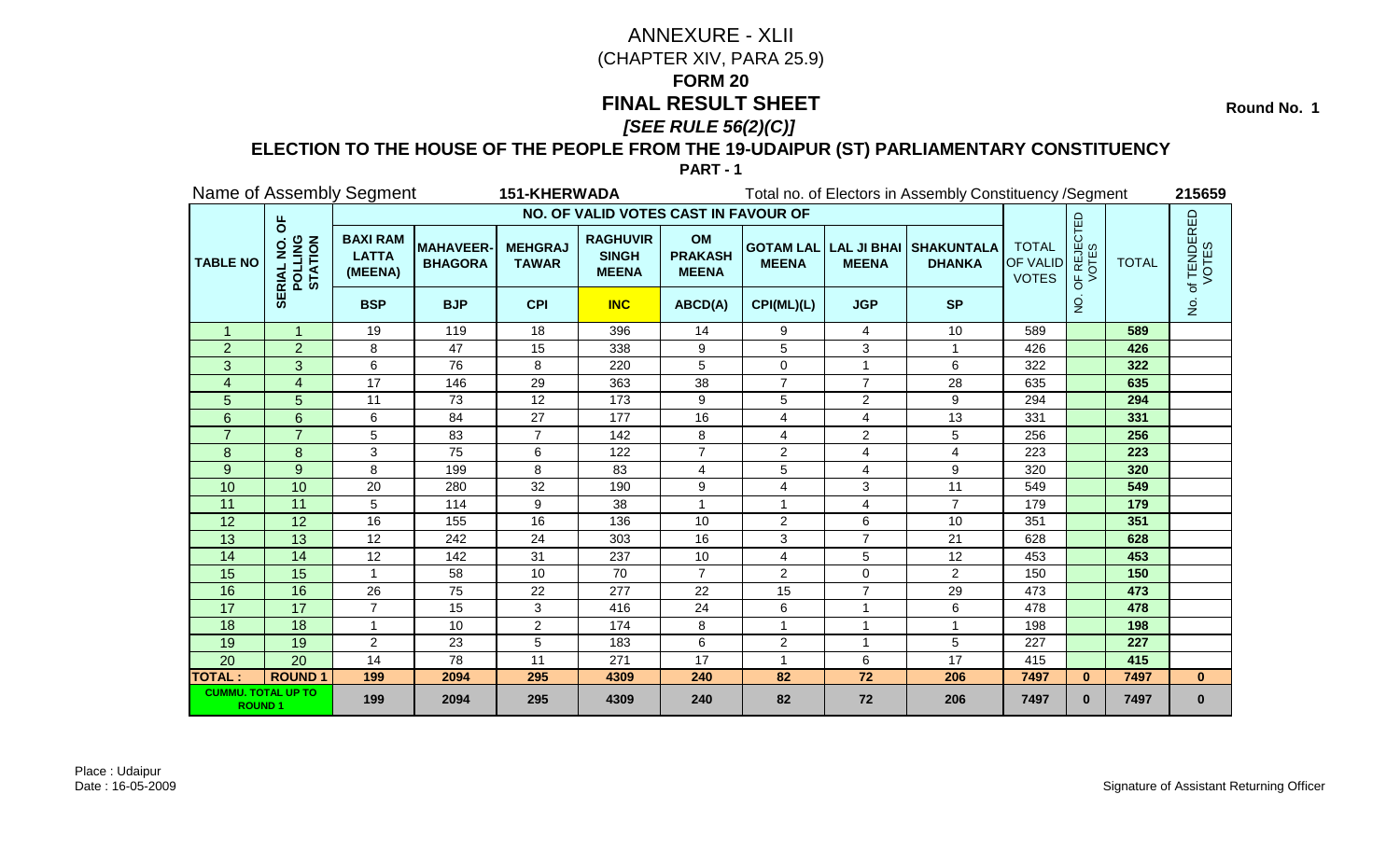**Round No. 1** 

### **ELECTION TO THE HOUSE OF THE PEOPLE FROM THE 19-UDAIPUR (ST) PARLIAMENTARY CONSTITUENCY**

|                                            |                                                       | Name of Assembly Segment                   |                                    | <b>151-KHERWADA</b>            |                                                 |                                             |                |                         | Total no. of Electors in Assembly Constituency / Segment |                                                 |                           |              | 215659                                |
|--------------------------------------------|-------------------------------------------------------|--------------------------------------------|------------------------------------|--------------------------------|-------------------------------------------------|---------------------------------------------|----------------|-------------------------|----------------------------------------------------------|-------------------------------------------------|---------------------------|--------------|---------------------------------------|
|                                            |                                                       |                                            |                                    |                                | NO. OF VALID VOTES CAST IN FAVOUR OF            |                                             |                |                         |                                                          |                                                 |                           |              |                                       |
| <b>TABLE NO</b>                            | pp<br><b>POLLING</b><br>STATION<br>$\frac{1}{\alpha}$ | <b>BAXI RAM</b><br><b>LATTA</b><br>(MEENA) | <b>MAHAVEER-</b><br><b>BHAGORA</b> | <b>MEHGRAJ</b><br><b>TAWAR</b> | <b>RAGHUVIR</b><br><b>SINGH</b><br><b>MEENA</b> | <b>OM</b><br><b>PRAKASH</b><br><b>MEENA</b> | <b>MEENA</b>   | <b>MEENA</b>            | <b>GOTAM LAL LAL JI BHAI SHAKUNTALA</b><br><b>DHANKA</b> | <b>TOTAL</b><br><b>OF VALID</b><br><b>VOTES</b> | JF REJECTED<br>VOTES<br>Ъ | <b>TOTAL</b> | of TENDERED<br>VOTES                  |
|                                            | ₩                                                     | <b>BSP</b>                                 | <b>BJP</b>                         | <b>CPI</b>                     | <b>INC</b>                                      | ABCD(A)                                     | CPI(ML)(L)     | <b>JGP</b>              | <b>SP</b>                                                |                                                 | o<br>Z                    |              | $\frac{\dot{\mathsf{S}}}{\mathsf{Z}}$ |
| $\mathbf{1}$                               | $\mathbf{1}$                                          | 19                                         | 119                                | 18                             | 396                                             | 14                                          | 9              | 4                       | 10                                                       | 589                                             |                           | 589          |                                       |
| $\overline{2}$                             | $\overline{2}$                                        | 8                                          | 47                                 | 15                             | 338                                             | 9                                           | 5              | $\sqrt{3}$              |                                                          | 426                                             |                           | 426          |                                       |
| 3                                          | 3                                                     | 6                                          | 76                                 | 8                              | 220                                             | 5                                           | 0              | 1                       | 6                                                        | 322                                             |                           | 322          |                                       |
| 4                                          | $\overline{\mathbf{4}}$                               | 17                                         | 146                                | 29                             | 363                                             | 38                                          | $\overline{7}$ | $\overline{7}$          | 28                                                       | 635                                             |                           | 635          |                                       |
| 5                                          | 5                                                     | 11                                         | 73                                 | $12 \overline{ }$              | 173                                             | 9                                           | 5              | $\overline{2}$          | 9                                                        | 294                                             |                           | 294          |                                       |
| 6                                          | 6                                                     | 6                                          | 84                                 | 27                             | 177                                             | 16                                          | 4              | $\overline{4}$          | 13                                                       | 331                                             |                           | 331          |                                       |
|                                            | $\overline{7}$                                        | 5                                          | 83                                 | $\overline{7}$                 | 142                                             | 8                                           | 4              | $\overline{2}$          | 5                                                        | 256                                             |                           | 256          |                                       |
| 8                                          | 8                                                     | 3                                          | 75                                 | 6                              | 122                                             | $\overline{7}$                              | $\overline{2}$ | 4                       | 4                                                        | 223                                             |                           | 223          |                                       |
| 9                                          | 9                                                     | 8                                          | 199                                | 8                              | 83                                              | 4                                           | 5              | $\overline{\mathbf{4}}$ | 9                                                        | 320                                             |                           | 320          |                                       |
| 10                                         | 10                                                    | 20                                         | 280                                | 32                             | 190                                             | 9                                           | 4              | 3                       | 11                                                       | 549                                             |                           | 549          |                                       |
| 11                                         | $\overline{11}$                                       | 5                                          | 114                                | 9                              | 38                                              |                                             | 1              | 4                       | $\overline{7}$                                           | 179                                             |                           | 179          |                                       |
| 12                                         | 12                                                    | 16                                         | 155                                | 16                             | 136                                             | 10                                          | $\overline{2}$ | 6                       | 10                                                       | 351                                             |                           | 351          |                                       |
| 13                                         | 13                                                    | 12                                         | 242                                | 24                             | 303                                             | 16                                          | 3              | $\overline{7}$          | 21                                                       | 628                                             |                           | 628          |                                       |
| 14                                         | 14                                                    | 12                                         | 142                                | 31                             | 237                                             | 10                                          | 4              | 5                       | 12                                                       | 453                                             |                           | 453          |                                       |
| 15                                         | 15                                                    | $\mathbf{1}$                               | 58                                 | 10                             | 70                                              | $\overline{7}$                              | $\overline{2}$ | $\Omega$                | $\overline{2}$                                           | 150                                             |                           | 150          |                                       |
| 16                                         | 16                                                    | 26                                         | 75                                 | 22                             | 277                                             | 22                                          | 15             | $\overline{7}$          | 29                                                       | 473                                             |                           | 473          |                                       |
| 17                                         | 17                                                    | $\overline{7}$                             | 15                                 | 3                              | 416                                             | 24                                          | 6              | $\overline{1}$          | 6                                                        | 478                                             |                           | 478          |                                       |
| 18                                         | $\overline{18}$                                       | $\mathbf{1}$                               | 10                                 | $\overline{2}$                 | 174                                             | 8                                           | $\mathbf{1}$   | $\mathbf{1}$            | $\mathbf{1}$                                             | 198                                             |                           | 198          |                                       |
| 19                                         | 19                                                    | $\overline{2}$                             | 23                                 | 5                              | 183                                             | 6                                           | $\overline{2}$ | $\overline{1}$          | 5                                                        | 227                                             |                           | 227          |                                       |
| 20                                         | 20                                                    | 14                                         | 78                                 | 11                             | 271                                             | 17                                          | 1              | 6                       | 17                                                       | 415                                             |                           | 415          |                                       |
| <b>TOTAL:</b>                              | <b>ROUND1</b>                                         | 199                                        | 2094                               | 295                            | 4309                                            | 240                                         | 82             | 72                      | 206                                                      | 7497                                            | $\bf{0}$                  | 7497         | $\mathbf{0}$                          |
| <b>CUMMU. TOTAL UP TO</b><br><b>ROUND1</b> |                                                       | 199                                        | 2094                               | 295                            | 4309                                            | 240                                         | 82             | 72                      | 206                                                      | 7497                                            | $\bf{0}$                  | 7497         | $\mathbf{0}$                          |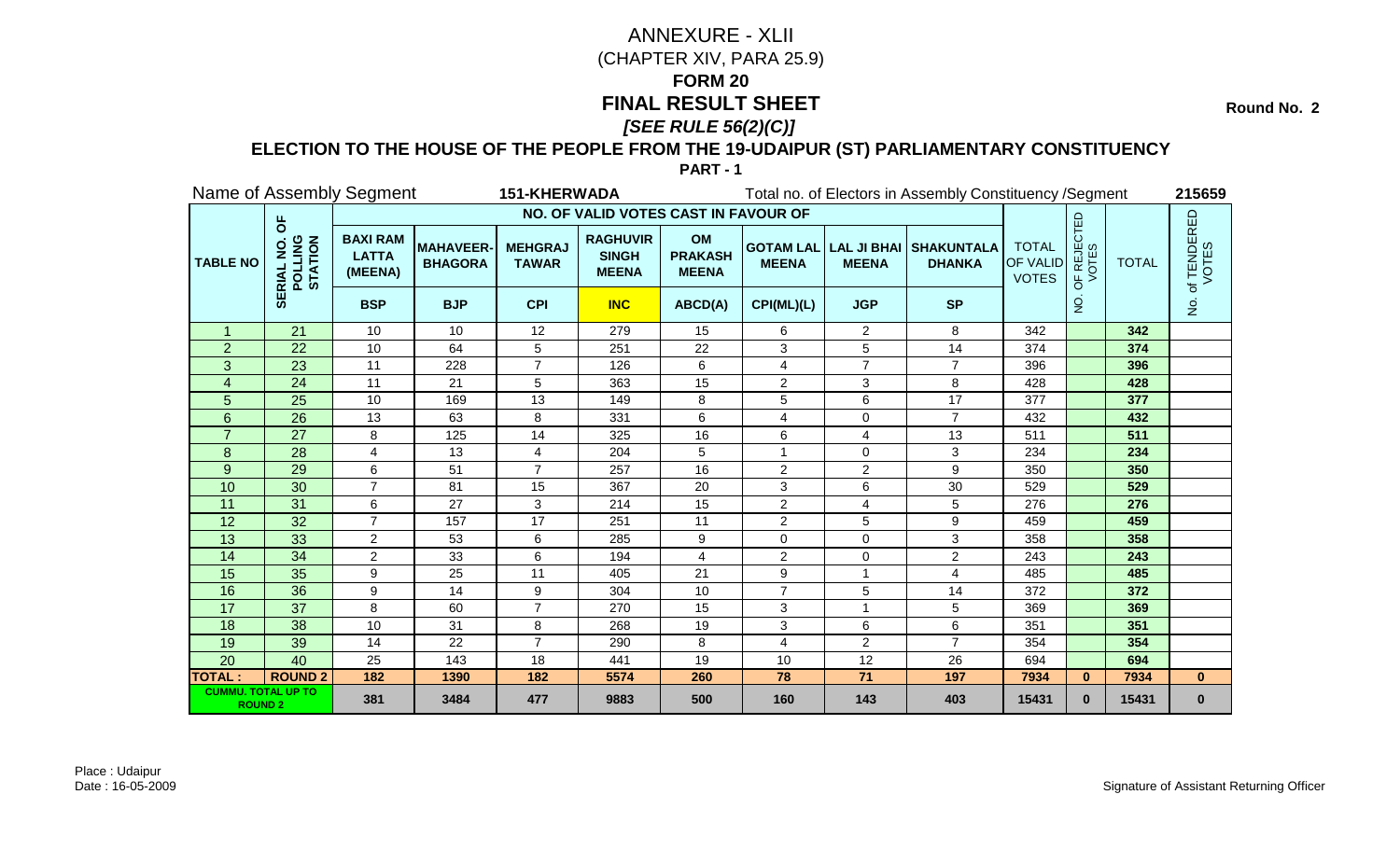**Round No. 2** 

### **ELECTION TO THE HOUSE OF THE PEOPLE FROM THE 19-UDAIPUR (ST) PARLIAMENTARY CONSTITUENCY**

|                                             |                                                          | Name of Assembly Segment                   |                                   | <b>151-KHERWADA</b>            |                                                 |                                             |                |                | Total no. of Electors in Assembly Constituency / Segment |                                                 |                                               |              | 215659               |
|---------------------------------------------|----------------------------------------------------------|--------------------------------------------|-----------------------------------|--------------------------------|-------------------------------------------------|---------------------------------------------|----------------|----------------|----------------------------------------------------------|-------------------------------------------------|-----------------------------------------------|--------------|----------------------|
|                                             |                                                          |                                            |                                   |                                | NO. OF VALID VOTES CAST IN FAVOUR OF            |                                             |                |                |                                                          |                                                 |                                               |              |                      |
| <b>TABLE NO</b>                             | pp<br><b>POLLING</b><br>STATION<br>$\overline{Q}$<br>RIA | <b>BAXI RAM</b><br><b>LATTA</b><br>(MEENA) | <b>MAHAVEER</b><br><b>BHAGORA</b> | <b>MEHGRAJ</b><br><b>TAWAR</b> | <b>RAGHUVIR</b><br><b>SINGH</b><br><b>MEENA</b> | <b>OM</b><br><b>PRAKASH</b><br><b>MEENA</b> | <b>MEENA</b>   | <b>MEENA</b>   | <b>GOTAM LAL LAL JI BHAI SHAKUNTALA</b><br><b>DHANKA</b> | <b>TOTAL</b><br><b>OF VALID</b><br><b>VOTES</b> | <b>PF REJECTED</b><br>VOTES<br>$\overline{0}$ | <b>TOTAL</b> | of TENDERED<br>VOTES |
|                                             | ₩                                                        | <b>BSP</b>                                 | <b>BJP</b>                        | <b>CPI</b>                     | <b>INC</b>                                      | ABCD(A)                                     | CPI(ML)(L)     | <b>JGP</b>     | <b>SP</b>                                                |                                                 | $\overline{5}$                                |              | $\dot{\mathsf{S}}$   |
| $\mathbf{1}$                                | 21                                                       | 10                                         | 10                                | 12                             | 279                                             | 15                                          | 6              | $\overline{2}$ | 8                                                        | 342                                             |                                               | 342          |                      |
| $\overline{2}$                              | 22                                                       | 10                                         | 64                                | 5                              | 251                                             | 22                                          | 3              | 5              | 14                                                       | 374                                             |                                               | 374          |                      |
| 3                                           | 23                                                       | 11                                         | 228                               | $\overline{7}$                 | 126                                             | 6                                           | 4              | $\overline{7}$ | $\overline{7}$                                           | 396                                             |                                               | 396          |                      |
| $\overline{\mathbf{4}}$                     | $\overline{24}$                                          | 11                                         | 21                                | 5                              | 363                                             | 15                                          | $\overline{2}$ | $\mathbf{3}$   | 8                                                        | 428                                             |                                               | 428          |                      |
| 5                                           | 25                                                       | 10                                         | 169                               | 13                             | 149                                             | 8                                           | 5              | 6              | 17                                                       | 377                                             |                                               | 377          |                      |
| 6                                           | 26                                                       | 13                                         | 63                                | 8                              | 331                                             | 6                                           | 4              | $\Omega$       | $\overline{7}$                                           | 432                                             |                                               | 432          |                      |
|                                             | 27                                                       | 8                                          | 125                               | 14                             | 325                                             | 16                                          | 6              | 4              | 13                                                       | 511                                             |                                               | 511          |                      |
| 8                                           | $\overline{28}$                                          | 4                                          | 13                                | $\overline{4}$                 | 204                                             | 5                                           |                | $\Omega$       | 3                                                        | 234                                             |                                               | 234          |                      |
| 9                                           | 29                                                       | 6                                          | 51                                | $\overline{7}$                 | 257                                             | 16                                          | $\overline{2}$ | $\overline{c}$ | 9                                                        | 350                                             |                                               | 350          |                      |
| 10                                          | 30                                                       | $\overline{7}$                             | 81                                | 15                             | 367                                             | 20                                          | 3              | 6              | 30                                                       | 529                                             |                                               | 529          |                      |
| 11                                          | 31                                                       | 6                                          | 27                                | 3                              | 214                                             | 15                                          | $\overline{2}$ | $\overline{4}$ | 5                                                        | 276                                             |                                               | 276          |                      |
| 12                                          | 32                                                       | $\overline{7}$                             | 157                               | 17                             | 251                                             | 11                                          | $\overline{2}$ | 5              | 9                                                        | 459                                             |                                               | 459          |                      |
| 13                                          | 33                                                       | $\overline{2}$                             | 53                                | 6                              | 285                                             | 9                                           | $\mathbf 0$    | $\mathbf 0$    | 3                                                        | 358                                             |                                               | 358          |                      |
| 14                                          | 34                                                       | $\overline{2}$                             | 33                                | 6                              | 194                                             | 4                                           | $\overline{2}$ | $\mathbf 0$    | $\overline{a}$                                           | 243                                             |                                               | 243          |                      |
| 15                                          | 35                                                       | 9                                          | 25                                | 11                             | 405                                             | 21                                          | 9              |                | 4                                                        | 485                                             |                                               | 485          |                      |
| 16                                          | 36                                                       | 9                                          | 14                                | 9                              | 304                                             | 10                                          |                | 5              | 14                                                       | 372                                             |                                               | 372          |                      |
| 17                                          | 37                                                       | 8                                          | 60                                | $\overline{7}$                 | 270                                             | 15                                          | 3              |                | 5                                                        | 369                                             |                                               | 369          |                      |
| 18                                          | $\overline{38}$                                          | 10                                         | 31                                | 8                              | 268                                             | 19                                          | 3              | $\,6\,$        | 6                                                        | 351                                             |                                               | 351          |                      |
| 19                                          | 39                                                       | 14                                         | 22                                | $\overline{7}$                 | 290                                             | 8                                           | 4              | $\overline{2}$ | $\overline{7}$                                           | 354                                             |                                               | 354          |                      |
| 20                                          | 40                                                       | 25                                         | 143                               | 18                             | 441                                             | 19                                          | 10             | 12             | 26                                                       | 694                                             |                                               | 694          |                      |
| <b>TOTAL:</b>                               | <b>ROUND 2</b>                                           | 182                                        | 1390                              | 182                            | 5574                                            | 260                                         | 78             | $71$           | 197                                                      | 7934                                            | $\mathbf{0}$                                  | 7934         | $\mathbf{0}$         |
| <b>CUMMU. TOTAL UP TO</b><br><b>ROUND 2</b> |                                                          | 381                                        | 3484                              | 477                            | 9883                                            | 500                                         | 160            | 143            | 403                                                      | 15431                                           | $\bf{0}$                                      | 15431        | $\bf{0}$             |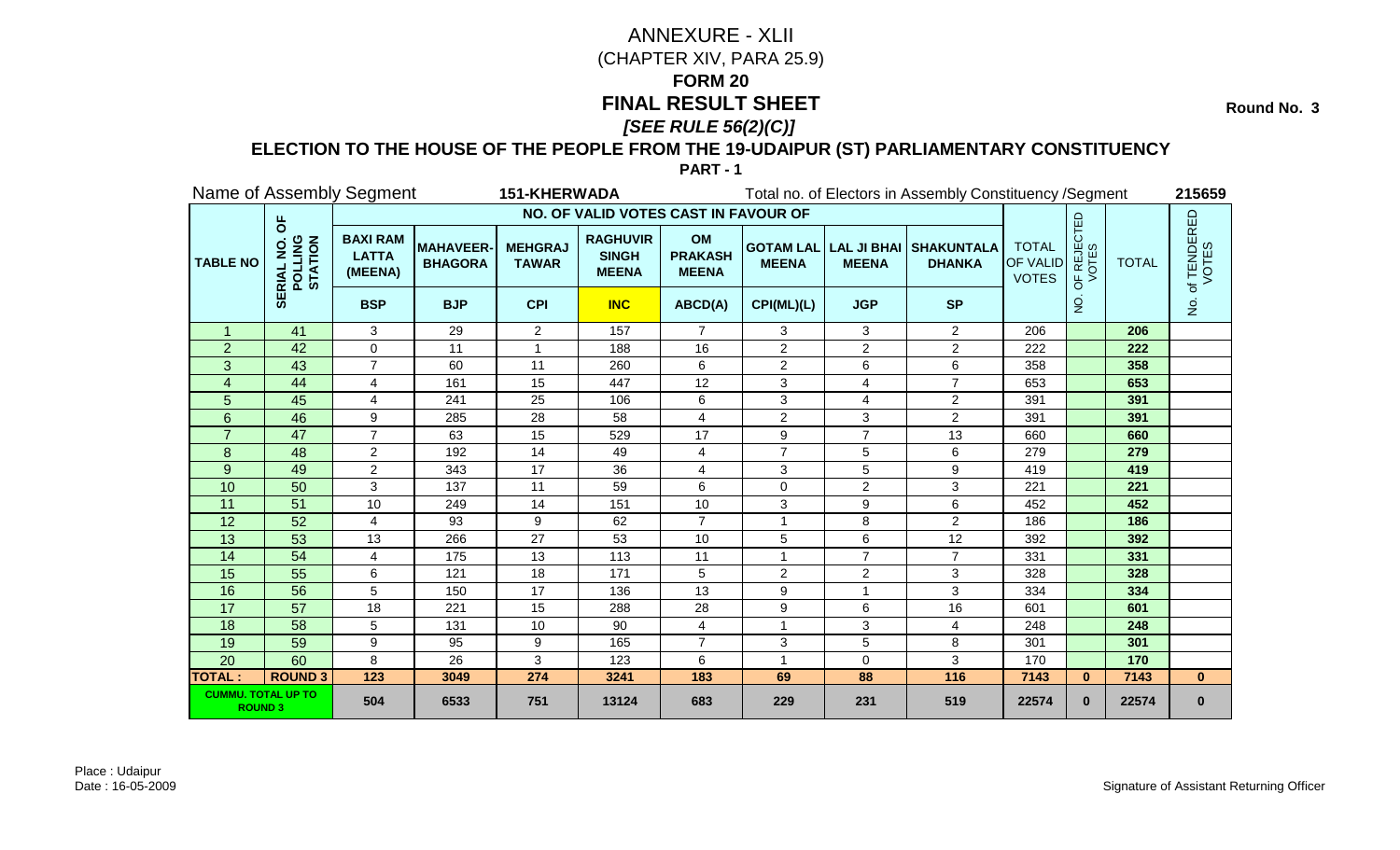**Round No. 3** 

### **ELECTION TO THE HOUSE OF THE PEOPLE FROM THE 19-UDAIPUR (ST) PARLIAMENTARY CONSTITUENCY**

|                                             |                               | Name of Assembly Segment                   |                                    | <b>151-KHERWADA</b>            |                                                 |                                             |                |                | Total no. of Electors in Assembly Constituency / Segment |                                                 |                                  |              | 215659               |
|---------------------------------------------|-------------------------------|--------------------------------------------|------------------------------------|--------------------------------|-------------------------------------------------|---------------------------------------------|----------------|----------------|----------------------------------------------------------|-------------------------------------------------|----------------------------------|--------------|----------------------|
|                                             |                               |                                            |                                    |                                | NO. OF VALID VOTES CAST IN FAVOUR OF            |                                             |                |                |                                                          |                                                 |                                  |              |                      |
| <b>TABLE NO</b>                             | pp<br>POLLING<br>STATION<br>ᇎ | <b>BAXI RAM</b><br><b>LATTA</b><br>(MEENA) | <b>MAHAVEER-</b><br><b>BHAGORA</b> | <b>MEHGRAJ</b><br><b>TAWAR</b> | <b>RAGHUVIR</b><br><b>SINGH</b><br><b>MEENA</b> | <b>OM</b><br><b>PRAKASH</b><br><b>MEENA</b> | <b>MEENA</b>   | <b>MEENA</b>   | <b>GOTAM LAL LAL JI BHAI SHAKUNTALA</b><br><b>DHANKA</b> | <b>TOTAL</b><br><b>OF VALID</b><br><b>VOTES</b> | <b>JF REJECTED</b><br>VOTES<br>Ъ | <b>TOTAL</b> | of TENDERED<br>VOTES |
|                                             | 59                            | <b>BSP</b>                                 | <b>BJP</b>                         | <b>CPI</b>                     | <b>INC</b>                                      | ABCD(A)                                     | CPI(ML)(L)     | <b>JGP</b>     | <b>SP</b>                                                |                                                 | g                                |              | $\frac{1}{2}$        |
| $\mathbf 1$                                 | 41                            | 3                                          | 29                                 | $\overline{2}$                 | 157                                             | 7                                           | 3              | 3              | $\overline{2}$                                           | 206                                             |                                  | 206          |                      |
| $\overline{2}$                              | 42                            | 0                                          | 11                                 |                                | 188                                             | 16                                          | $\overline{2}$ | $\overline{2}$ | $\overline{a}$                                           | 222                                             |                                  | 222          |                      |
| 3                                           | 43                            | $\overline{7}$                             | 60                                 | 11                             | 260                                             | 6                                           | $\overline{2}$ | 6              | 6                                                        | 358                                             |                                  | 358          |                      |
| 4                                           | 44                            | $\overline{4}$                             | 161                                | 15                             | 447                                             | 12                                          | 3              | 4              | $\overline{7}$                                           | 653                                             |                                  | 653          |                      |
| 5                                           | 45                            | 4                                          | 241                                | 25                             | 106                                             | 6                                           | 3              | 4              | $\overline{a}$                                           | 391                                             |                                  | 391          |                      |
| $6\phantom{1}$                              | 46                            | 9                                          | 285                                | 28                             | 58                                              | $\overline{4}$                              | $\overline{2}$ | 3              | $\overline{2}$                                           | 391                                             |                                  | 391          |                      |
| $\overline{7}$                              | 47                            | $\overline{7}$                             | 63                                 | 15                             | 529                                             | 17                                          | 9              | $\overline{7}$ | 13                                                       | 660                                             |                                  | 660          |                      |
| 8                                           | 48                            | $\overline{2}$                             | 192                                | 14                             | 49                                              | 4                                           | 7              | 5              | 6                                                        | 279                                             |                                  | 279          |                      |
| 9                                           | 49                            | $\overline{2}$                             | 343                                | 17                             | 36                                              | 4                                           | 3              | 5              | 9                                                        | 419                                             |                                  | 419          |                      |
| 10                                          | 50                            | 3                                          | 137                                | 11                             | 59                                              | 6                                           | 0              | $\overline{c}$ | 3                                                        | 221                                             |                                  | 221          |                      |
| 11                                          | 51                            | 10                                         | 249                                | 14                             | 151                                             | 10                                          | 3              | 9              | 6                                                        | 452                                             |                                  | 452          |                      |
| 12                                          | 52                            | $\overline{4}$                             | 93                                 | 9                              | 62                                              | $\overline{7}$                              | 1              | 8              | $\overline{2}$                                           | 186                                             |                                  | 186          |                      |
| 13                                          | 53                            | 13                                         | 266                                | 27                             | 53                                              | 10                                          | 5              | 6              | 12                                                       | 392                                             |                                  | 392          |                      |
| 14                                          | $\overline{54}$               | $\overline{\mathbf{4}}$                    | 175                                | $\overline{13}$                | 113                                             | 11                                          | 1              | $\overline{7}$ | $\overline{7}$                                           | 331                                             |                                  | 331          |                      |
| 15                                          | 55                            | 6                                          | 121                                | 18                             | 171                                             | 5                                           | $\overline{2}$ | $\overline{2}$ | 3                                                        | 328                                             |                                  | 328          |                      |
| 16                                          | 56                            | 5                                          | 150                                | 17                             | 136                                             | 13                                          | 9              | $\overline{1}$ | 3                                                        | 334                                             |                                  | 334          |                      |
| 17                                          | 57                            | 18                                         | 221                                | 15                             | 288                                             | 28                                          | 9              | 6              | 16                                                       | 601                                             |                                  | 601          |                      |
| 18                                          | 58                            | 5                                          | 131                                | 10                             | 90                                              | $\overline{4}$                              | 1              | 3              | 4                                                        | 248                                             |                                  | 248          |                      |
| 19                                          | 59                            | 9                                          | 95                                 | 9                              | 165                                             | $\overline{7}$                              | 3              | $\sqrt{5}$     | 8                                                        | 301                                             |                                  | 301          |                      |
| 20                                          | 60                            | 8                                          | 26                                 | 3                              | 123                                             | 6                                           | 1              | $\Omega$       | 3                                                        | 170                                             |                                  | 170          |                      |
| <b>TOTAL:</b>                               | <b>ROUND 3</b>                | $\overline{123}$                           | 3049                               | 274                            | 3241                                            | 183                                         | 69             | 88             | $\frac{116}{116}$                                        | 7143                                            | $\mathbf{0}$                     | 7143         | $\mathbf{0}$         |
| <b>CUMMU. TOTAL UP TO</b><br><b>ROUND 3</b> |                               | 504                                        | 6533                               | 751                            | 13124                                           | 683                                         | 229            | 231            | 519                                                      | 22574                                           | $\bf{0}$                         | 22574        | $\bf{0}$             |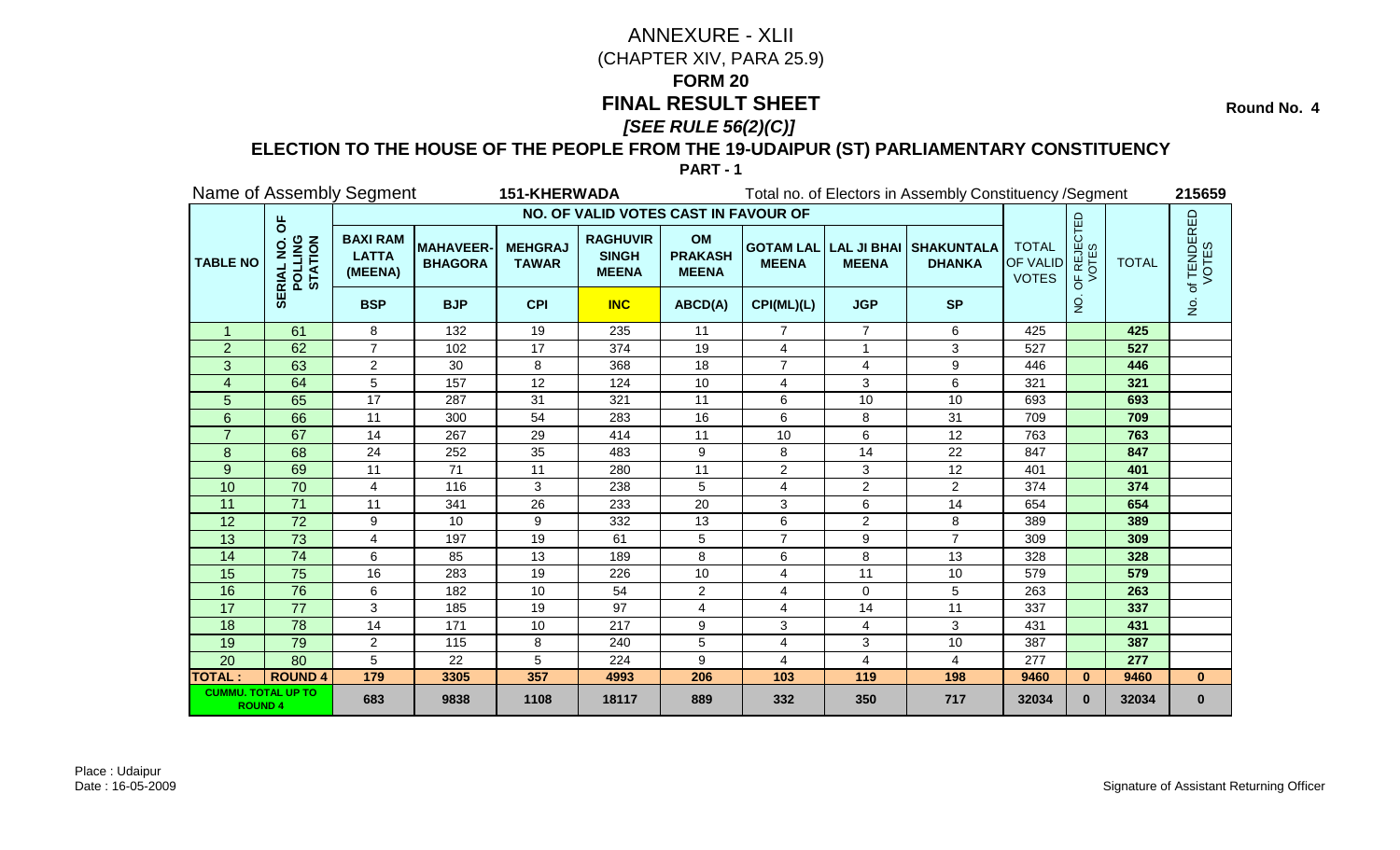**Round No. 4** 

### **ELECTION TO THE HOUSE OF THE PEOPLE FROM THE 19-UDAIPUR (ST) PARLIAMENTARY CONSTITUENCY**

|                                             |                                                          | Name of Assembly Segment                   |                                   | <b>151-KHERWADA</b>            |                                                 |                                             |                |                | Total no. of Electors in Assembly Constituency / Segment |                                                 |                                               |              | 215659                                |
|---------------------------------------------|----------------------------------------------------------|--------------------------------------------|-----------------------------------|--------------------------------|-------------------------------------------------|---------------------------------------------|----------------|----------------|----------------------------------------------------------|-------------------------------------------------|-----------------------------------------------|--------------|---------------------------------------|
|                                             |                                                          |                                            |                                   |                                | NO. OF VALID VOTES CAST IN FAVOUR OF            |                                             |                |                |                                                          |                                                 |                                               |              |                                       |
| <b>TABLE NO</b>                             | pp<br><b>POLLING</b><br>STATION<br>RIA<br>$\overline{Q}$ | <b>BAXI RAM</b><br><b>LATTA</b><br>(MEENA) | <b>MAHAVEER</b><br><b>BHAGORA</b> | <b>MEHGRAJ</b><br><b>TAWAR</b> | <b>RAGHUVIR</b><br><b>SINGH</b><br><b>MEENA</b> | <b>OM</b><br><b>PRAKASH</b><br><b>MEENA</b> | <b>MEENA</b>   | <b>MEENA</b>   | <b>GOTAM LAL LAL JI BHAI SHAKUNTALA</b><br><b>DHANKA</b> | <b>TOTAL</b><br><b>OF VALID</b><br><b>VOTES</b> | <b>PF REJECTED</b><br>VOTES<br>$\overline{5}$ | <b>TOTAL</b> | of TENDERED<br>VOTES                  |
|                                             | ₩                                                        | <b>BSP</b>                                 | <b>BJP</b>                        | <b>CPI</b>                     | <b>INC</b>                                      | ABCD(A)                                     | CPI(ML)(L)     | <b>JGP</b>     | <b>SP</b>                                                |                                                 | $\overline{5}$                                |              | $\frac{\dot{\mathsf{S}}}{\mathsf{Z}}$ |
| $\mathbf{1}$                                | 61                                                       | 8                                          | 132                               | 19                             | 235                                             | 11                                          | $\overline{7}$ | $\overline{7}$ | 6                                                        | 425                                             |                                               | 425          |                                       |
| $\overline{2}$                              | 62                                                       | $\overline{7}$                             | 102                               | 17                             | 374                                             | 19                                          | 4              | 1              | 3                                                        | 527                                             |                                               | 527          |                                       |
| 3                                           | 63                                                       | $\overline{2}$                             | 30                                | 8                              | 368                                             | 18                                          | $\overline{7}$ | 4              | 9                                                        | 446                                             |                                               | 446          |                                       |
| $\overline{4}$                              | 64                                                       | 5                                          | 157                               | 12                             | 124                                             | 10                                          | 4              | 3              | 6                                                        | 321                                             |                                               | 321          |                                       |
| 5                                           | 65                                                       | 17                                         | 287                               | 31                             | 321                                             | 11                                          | 6              | 10             | 10                                                       | 693                                             |                                               | 693          |                                       |
| 6                                           | 66                                                       | 11                                         | 300                               | 54                             | 283                                             | 16                                          | 6              | 8              | 31                                                       | 709                                             |                                               | 709          |                                       |
|                                             | 67                                                       | 14                                         | 267                               | 29                             | 414                                             | 11                                          | 10             | 6              | 12                                                       | 763                                             |                                               | 763          |                                       |
| 8                                           | 68                                                       | 24                                         | 252                               | 35                             | 483                                             | 9                                           | 8              | 14             | 22                                                       | 847                                             |                                               | 847          |                                       |
| 9                                           | 69                                                       | 11                                         | 71                                | 11                             | 280                                             | 11                                          | $\overline{c}$ | 3              | 12                                                       | 401                                             |                                               | 401          |                                       |
| 10                                          | 70                                                       | 4                                          | 116                               | 3                              | 238                                             | 5                                           | 4              | $\overline{2}$ | $\overline{2}$                                           | 374                                             |                                               | 374          |                                       |
| 11                                          | $\overline{71}$                                          | $\overline{11}$                            | 341                               | $\overline{26}$                | 233                                             | 20                                          | 3              | 6              | $\overline{14}$                                          | 654                                             |                                               | 654          |                                       |
| 12                                          | 72                                                       | 9                                          | 10                                | 9                              | 332                                             | 13                                          | 6              | 2              | 8                                                        | 389                                             |                                               | 389          |                                       |
| 13                                          | 73                                                       | 4                                          | 197                               | 19                             | 61                                              | 5                                           | $\overline{7}$ | 9              | $\overline{7}$                                           | 309                                             |                                               | 309          |                                       |
| 14                                          | $\overline{74}$                                          | 6                                          | 85                                | 13                             | 189                                             | 8                                           | 6              | 8              | 13                                                       | 328                                             |                                               | 328          |                                       |
| 15                                          | 75                                                       | 16                                         | 283                               | 19                             | 226                                             | 10                                          | 4              | 11             | 10                                                       | 579                                             |                                               | 579          |                                       |
| 16                                          | 76                                                       | 6                                          | 182                               | 10                             | 54                                              | $\overline{c}$                              | 4              | $\Omega$       | 5                                                        | 263                                             |                                               | 263          |                                       |
| 17                                          | 77                                                       | 3                                          | 185                               | 19                             | 97                                              | 4                                           | 4              | 14             | 11                                                       | 337                                             |                                               | 337          |                                       |
| 18                                          | $\overline{78}$                                          | 14                                         | 171                               | 10                             | 217                                             | 9                                           | $\mathbf{3}$   | 4              | 3                                                        | 431                                             |                                               | 431          |                                       |
| 19                                          | 79                                                       | 2                                          | 115                               | 8                              | 240                                             | 5                                           | 4              | 3              | 10                                                       | 387                                             |                                               | 387          |                                       |
| 20                                          | 80                                                       | 5                                          | 22                                | 5                              | 224                                             | 9                                           | 4              | $\overline{4}$ | 4                                                        | 277                                             |                                               | 277          |                                       |
| <b>TOTAL:</b>                               | <b>ROUND 4</b>                                           | 179                                        | 3305                              | 357                            | 4993                                            | 206                                         | 103            | 119            | 198                                                      | 9460                                            | $\mathbf{0}$                                  | 9460         | $\mathbf{0}$                          |
| <b>CUMMU. TOTAL UP TO</b><br><b>ROUND 4</b> |                                                          | 683                                        | 9838                              | 1108                           | 18117                                           | 889                                         | 332            | 350            | 717                                                      | 32034                                           | $\bf{0}$                                      | 32034        | $\bf{0}$                              |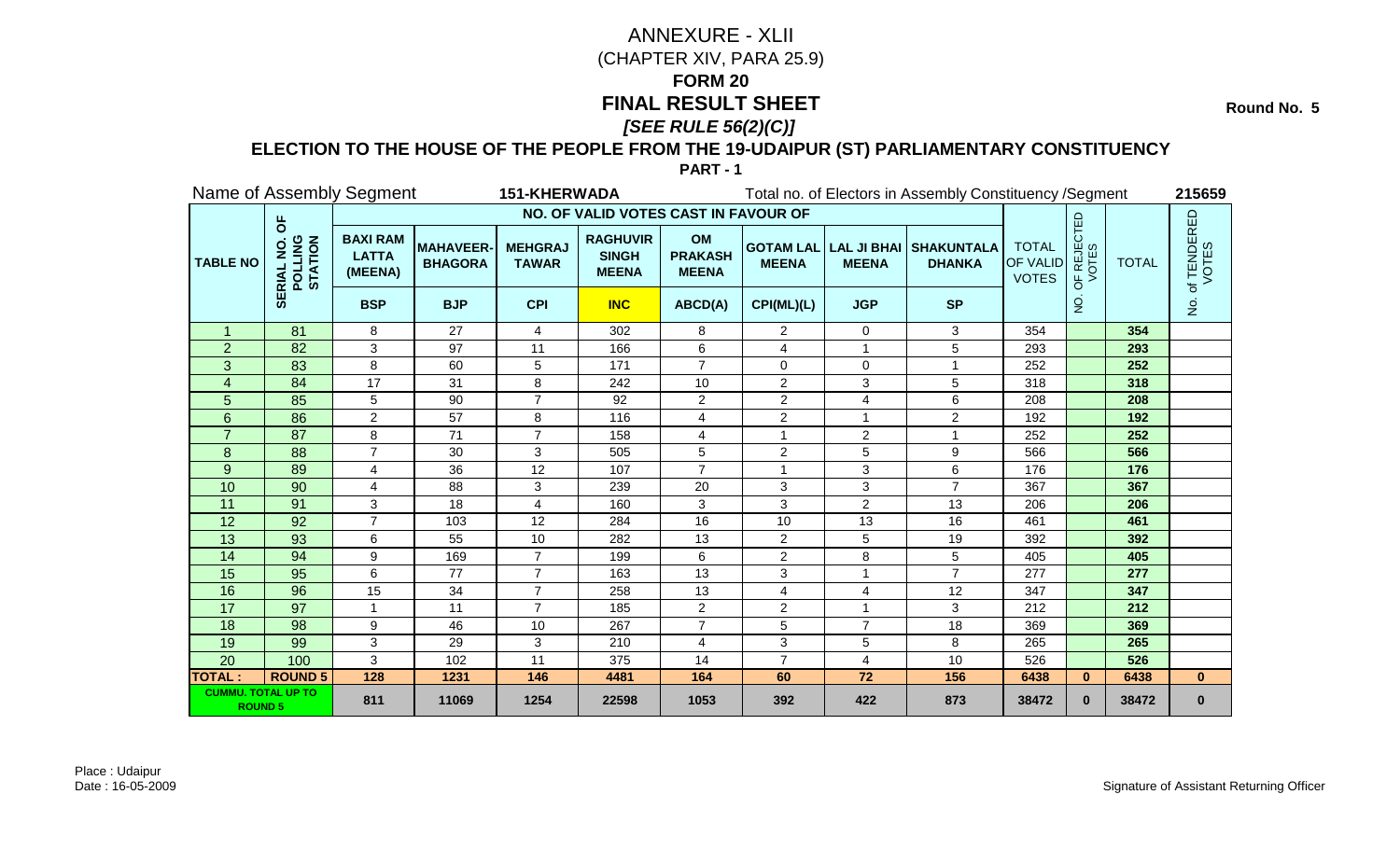**Round No. 5** 

### **ELECTION TO THE HOUSE OF THE PEOPLE FROM THE 19-UDAIPUR (ST) PARLIAMENTARY CONSTITUENCY**

|                                             |                                        | Name of Assembly Segment                   |                                   | <b>151-KHERWADA</b>            |                                                 |                                             |                |                 | Total no. of Electors in Assembly Constituency / Segment |                                                 |                                               |              | 215659                                |
|---------------------------------------------|----------------------------------------|--------------------------------------------|-----------------------------------|--------------------------------|-------------------------------------------------|---------------------------------------------|----------------|-----------------|----------------------------------------------------------|-------------------------------------------------|-----------------------------------------------|--------------|---------------------------------------|
|                                             |                                        |                                            |                                   |                                | NO. OF VALID VOTES CAST IN FAVOUR OF            |                                             |                |                 |                                                          |                                                 |                                               |              |                                       |
| <b>TABLE NO</b>                             | pp<br>POLLING<br>STATION<br><b>RIA</b> | <b>BAXI RAM</b><br><b>LATTA</b><br>(MEENA) | <b>MAHAVEER</b><br><b>BHAGORA</b> | <b>MEHGRAJ</b><br><b>TAWAR</b> | <b>RAGHUVIR</b><br><b>SINGH</b><br><b>MEENA</b> | <b>OM</b><br><b>PRAKASH</b><br><b>MEENA</b> | <b>MEENA</b>   | <b>MEENA</b>    | <b>GOTAM LAL LAL JI BHAI SHAKUNTALA</b><br><b>DHANKA</b> | <b>TOTAL</b><br><b>OF VALID</b><br><b>VOTES</b> | <b>PF REJECTED</b><br>VOTES<br>$\overline{0}$ | <b>TOTAL</b> | . of TENDERED<br>VOTES                |
|                                             | 5Ei                                    | <b>BSP</b>                                 | <b>BJP</b>                        | <b>CPI</b>                     | <b>INC</b>                                      | ABCD(A)                                     | CPI(ML)(L)     | <b>JGP</b>      | <b>SP</b>                                                |                                                 | $\frac{1}{2}$                                 |              | $\frac{\dot{\mathsf{S}}}{\mathsf{Z}}$ |
| $\mathbf{1}$                                | 81                                     | 8                                          | 27                                | $\overline{4}$                 | 302                                             | 8                                           | $\overline{2}$ | $\mathbf 0$     | 3                                                        | 354                                             |                                               | 354          |                                       |
| $\overline{2}$                              | 82                                     | 3                                          | 97                                | 11                             | 166                                             | 6                                           | 4              | 1               | 5                                                        | 293                                             |                                               | 293          |                                       |
| 3                                           | 83                                     | 8                                          | 60                                | 5                              | 171                                             | $\overline{7}$                              | $\Omega$       | $\mathbf 0$     |                                                          | 252                                             |                                               | 252          |                                       |
| $\overline{4}$                              | 84                                     | 17                                         | 31                                | 8                              | 242                                             | 10                                          | $\overline{2}$ | 3               | 5                                                        | 318                                             |                                               | 318          |                                       |
| 5                                           | 85                                     | 5                                          | 90                                | $\overline{7}$                 | 92                                              | $\overline{2}$                              | 2              | 4               | 6                                                        | 208                                             |                                               | 208          |                                       |
| $6\phantom{1}$                              | 86                                     | $\overline{2}$                             | 57                                | 8                              | 116                                             | $\overline{4}$                              | $\overline{2}$ |                 | $\overline{2}$                                           | 192                                             |                                               | 192          |                                       |
|                                             | 87                                     | 8                                          | 71                                | $\overline{7}$                 | 158                                             | 4                                           |                | $\overline{c}$  |                                                          | 252                                             |                                               | 252          |                                       |
| 8                                           | 88                                     | $\overline{7}$                             | 30                                | 3                              | 505                                             | 5                                           | 2              | 5               | 9                                                        | 566                                             |                                               | 566          |                                       |
| 9                                           | 89                                     | 4                                          | 36                                | 12                             | 107                                             | $\overline{7}$                              | 1              | $\mathbf{3}$    | 6                                                        | 176                                             |                                               | 176          |                                       |
| 10                                          | 90                                     | 4                                          | 88                                | 3                              | 239                                             | 20                                          | 3              | 3               | $\overline{7}$                                           | 367                                             |                                               | 367          |                                       |
| 11                                          | 91                                     | 3                                          | 18                                | $\overline{4}$                 | 160                                             | 3                                           | 3              | $\overline{2}$  | 13                                                       | 206                                             |                                               | 206          |                                       |
| 12                                          | 92                                     | 7                                          | 103                               | 12                             | 284                                             | 16                                          | 10             | 13              | 16                                                       | 461                                             |                                               | 461          |                                       |
| 13                                          | 93                                     | 6                                          | 55                                | 10                             | 282                                             | 13                                          | $\overline{2}$ | 5               | 19                                                       | 392                                             |                                               | 392          |                                       |
| 14                                          | 94                                     | $\boldsymbol{9}$                           | 169                               | $\overline{7}$                 | 199                                             | 6                                           | $\overline{2}$ | 8               | 5                                                        | 405                                             |                                               | 405          |                                       |
| 15                                          | 95                                     | 6                                          | 77                                | $\overline{7}$                 | 163                                             | 13                                          | 3              | $\overline{1}$  | $\overline{7}$                                           | 277                                             |                                               | 277          |                                       |
| 16                                          | 96                                     | 15                                         | 34                                | $\overline{7}$                 | 258                                             | 13                                          | 4              | $\overline{4}$  | 12                                                       | 347                                             |                                               | 347          |                                       |
| 17                                          | 97                                     | 1                                          | 11                                | $\overline{7}$                 | 185                                             | $\overline{2}$                              | $\overline{2}$ |                 | 3                                                        | 212                                             |                                               | 212          |                                       |
| 18                                          | 98                                     | 9                                          | 46                                | 10                             | 267                                             | $\overline{7}$                              | 5              | $\overline{7}$  | 18                                                       | 369                                             |                                               | 369          |                                       |
| 19                                          | 99                                     | 3                                          | 29                                | 3                              | 210                                             | 4                                           | 3              | 5               | 8                                                        | 265                                             |                                               | 265          |                                       |
| 20                                          | 100                                    | 3                                          | 102                               | 11                             | 375                                             | 14                                          | $\overline{7}$ | $\overline{4}$  | 10                                                       | 526                                             |                                               | 526          |                                       |
| <b>TOTAL:</b>                               | <b>ROUND 5</b>                         | 128                                        | 1231                              | 146                            | 4481                                            | 164                                         | 60             | $\overline{72}$ | 156                                                      | 6438                                            | $\mathbf{0}$                                  | 6438         | $\mathbf{0}$                          |
| <b>CUMMU. TOTAL UP TO</b><br><b>ROUND 5</b> |                                        | 811                                        | 11069                             | 1254                           | 22598                                           | 1053                                        | 392            | 422             | 873                                                      | 38472                                           | $\bf{0}$                                      | 38472        | $\bf{0}$                              |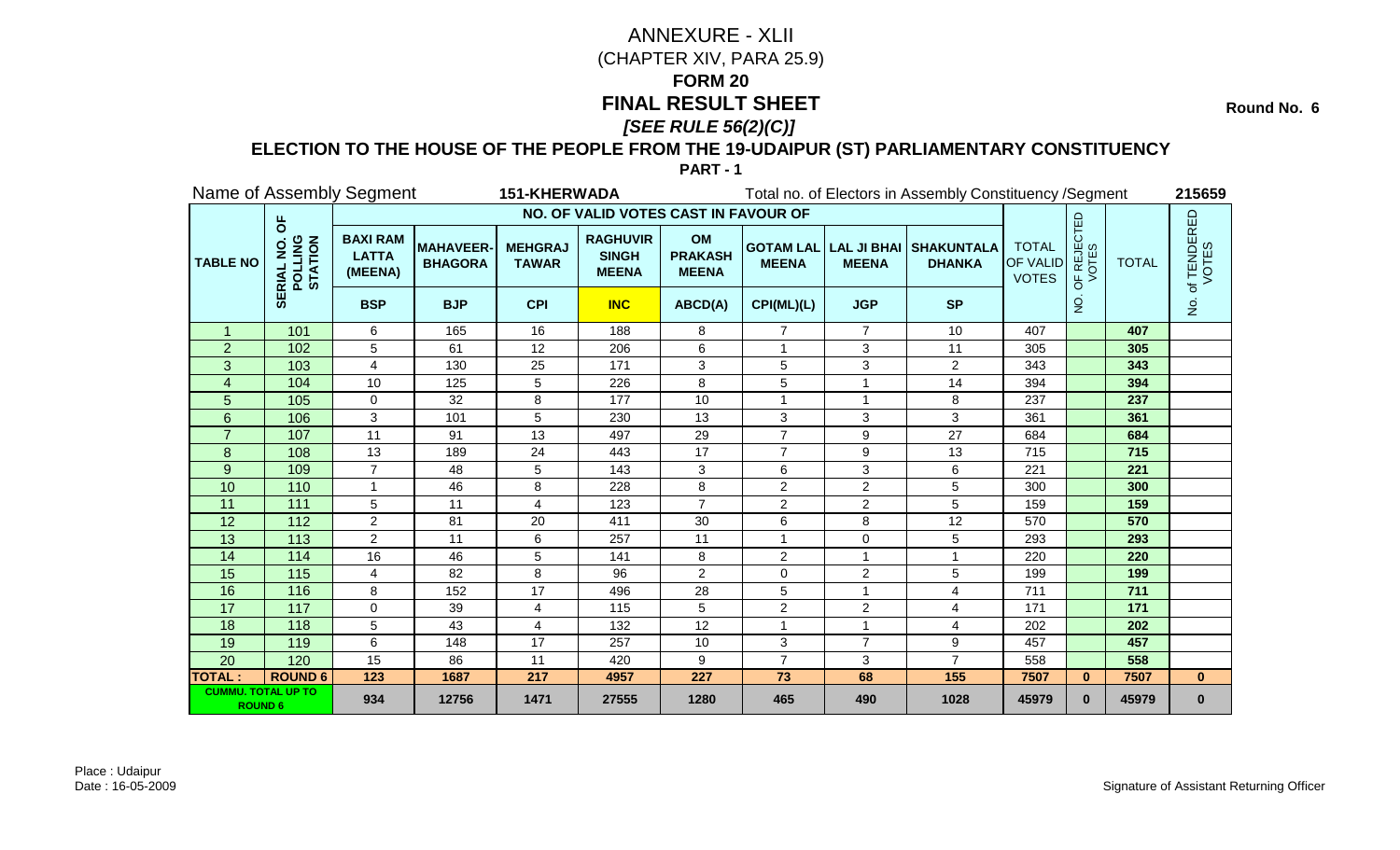**Round No. 6** 

### **ELECTION TO THE HOUSE OF THE PEOPLE FROM THE 19-UDAIPUR (ST) PARLIAMENTARY CONSTITUENCY**

|                                             |                                | Name of Assembly Segment                   |                                   | <b>151-KHERWADA</b>            |                                                 |                                             |                |                | Total no. of Electors in Assembly Constituency / Segment |                                          |                                               |              | 215659                                |
|---------------------------------------------|--------------------------------|--------------------------------------------|-----------------------------------|--------------------------------|-------------------------------------------------|---------------------------------------------|----------------|----------------|----------------------------------------------------------|------------------------------------------|-----------------------------------------------|--------------|---------------------------------------|
|                                             |                                |                                            |                                   |                                | NO. OF VALID VOTES CAST IN FAVOUR OF            |                                             |                |                |                                                          |                                          |                                               |              |                                       |
| <b>TABLE NO</b>                             | ხ<br>POLLING<br>STATION<br>RIA | <b>BAXI RAM</b><br><b>LATTA</b><br>(MEENA) | <b>MAHAVEER</b><br><b>BHAGORA</b> | <b>MEHGRAJ</b><br><b>TAWAR</b> | <b>RAGHUVIR</b><br><b>SINGH</b><br><b>MEENA</b> | <b>OM</b><br><b>PRAKASH</b><br><b>MEENA</b> | <b>MEENA</b>   | <b>MEENA</b>   | <b>GOTAM LAL LAL JI BHAI SHAKUNTALA</b><br><b>DHANKA</b> | <b>TOTAL</b><br>OF VALID<br><b>VOTES</b> | <b>PF REJECTED</b><br>VOTES<br>$\overline{5}$ | <b>TOTAL</b> | . of TENDERED<br>VOTES                |
|                                             | ₩                              | <b>BSP</b>                                 | <b>BJP</b>                        | <b>CPI</b>                     | <b>INC</b>                                      | ABCD(A)                                     | CPI(ML)(L)     | <b>JGP</b>     | <b>SP</b>                                                |                                          | $\overline{5}$                                |              | $\frac{\dot{\mathsf{S}}}{\mathsf{Z}}$ |
| $\mathbf{1}$                                | 101                            | 6                                          | 165                               | 16                             | 188                                             | 8                                           | $\overline{7}$ | $\overline{7}$ | 10                                                       | 407                                      |                                               | 407          |                                       |
| $\overline{2}$                              | 102                            | 5                                          | 61                                | 12                             | 206                                             | 6                                           |                | 3              | 11                                                       | 305                                      |                                               | 305          |                                       |
| 3                                           | 103                            | 4                                          | 130                               | 25                             | 171                                             | 3                                           | 5              | 3              | $\overline{2}$                                           | 343                                      |                                               | 343          |                                       |
| $\overline{4}$                              | 104                            | 10                                         | 125                               | 5                              | 226                                             | 8                                           | 5              | 1              | $\overline{14}$                                          | 394                                      |                                               | 394          |                                       |
| 5                                           | 105                            | 0                                          | 32                                | 8                              | 177                                             | 10                                          | -1             | $\overline{1}$ | 8                                                        | 237                                      |                                               | 237          |                                       |
| 6                                           | 106                            | 3                                          | 101                               | 5                              | 230                                             | 13                                          | 3              | 3              | 3                                                        | 361                                      |                                               | 361          |                                       |
|                                             | 107                            | 11                                         | 91                                | 13                             | 497                                             | 29                                          |                | 9              | 27                                                       | 684                                      |                                               | 684          |                                       |
| 8                                           | 108                            | 13                                         | 189                               | 24                             | 443                                             | 17                                          | $\overline{7}$ | 9              | 13                                                       | 715                                      |                                               | 715          |                                       |
| 9                                           | 109                            | 7                                          | 48                                | 5                              | 143                                             | 3                                           | 6              | 3              | 6                                                        | 221                                      |                                               | 221          |                                       |
| 10                                          | 110                            | $\mathbf{1}$                               | 46                                | 8                              | 228                                             | 8                                           | $\overline{2}$ | $\overline{2}$ | 5                                                        | 300                                      |                                               | 300          |                                       |
| 11                                          | 111                            | 5                                          | 11                                | 4                              | 123                                             | $\overline{7}$                              | $\overline{2}$ | $\overline{2}$ | 5                                                        | 159                                      |                                               | 159          |                                       |
| 12                                          | 112                            | $\overline{2}$                             | 81                                | 20                             | 411                                             | 30                                          | 6              | 8              | 12                                                       | 570                                      |                                               | 570          |                                       |
| 13                                          | 113                            | $\overline{2}$                             | 11                                | 6                              | 257                                             | 11                                          |                | $\mathbf 0$    | 5                                                        | 293                                      |                                               | 293          |                                       |
| 14                                          | 114                            | 16                                         | 46                                | 5                              | 141                                             | 8                                           | $\overline{2}$ |                |                                                          | 220                                      |                                               | 220          |                                       |
| 15                                          | 115                            | 4                                          | 82                                | 8                              | 96                                              | $\overline{2}$                              | $\Omega$       | $\overline{2}$ | 5                                                        | 199                                      |                                               | 199          |                                       |
| 16                                          | 116                            | 8                                          | 152                               | 17                             | 496                                             | 28                                          | 5              |                | 4                                                        | 711                                      |                                               | 711          |                                       |
| 17                                          | 117                            | $\mathbf 0$                                | 39                                | $\overline{4}$                 | 115                                             | 5                                           | $\overline{2}$ | $\overline{c}$ | 4                                                        | 171                                      |                                               | 171          |                                       |
| 18                                          | 118                            | 5                                          | 43                                | $\overline{4}$                 | 132                                             | 12                                          | -1             | 1              | 4                                                        | 202                                      |                                               | 202          |                                       |
| 19                                          | 119                            | 6                                          | 148                               | 17                             | 257                                             | 10                                          | 3              | $\overline{7}$ | 9                                                        | 457                                      |                                               | 457          |                                       |
| 20                                          | 120                            | 15                                         | 86                                | 11                             | 420                                             | 9                                           | $\overline{7}$ | $\mathbf{3}$   | $\overline{7}$                                           | 558                                      |                                               | 558          |                                       |
| <b>TOTAL:</b>                               | <b>ROUND 6</b>                 | 123                                        | 1687                              | 217                            | 4957                                            | 227                                         | 73             | 68             | 155                                                      | 7507                                     | $\bf{0}$                                      | 7507         | $\bf{0}$                              |
| <b>CUMMU. TOTAL UP TO</b><br><b>ROUND 6</b> |                                | 934                                        | 12756                             | 1471                           | 27555                                           | 1280                                        | 465            | 490            | 1028                                                     | 45979                                    | $\bf{0}$                                      | 45979        | $\bf{0}$                              |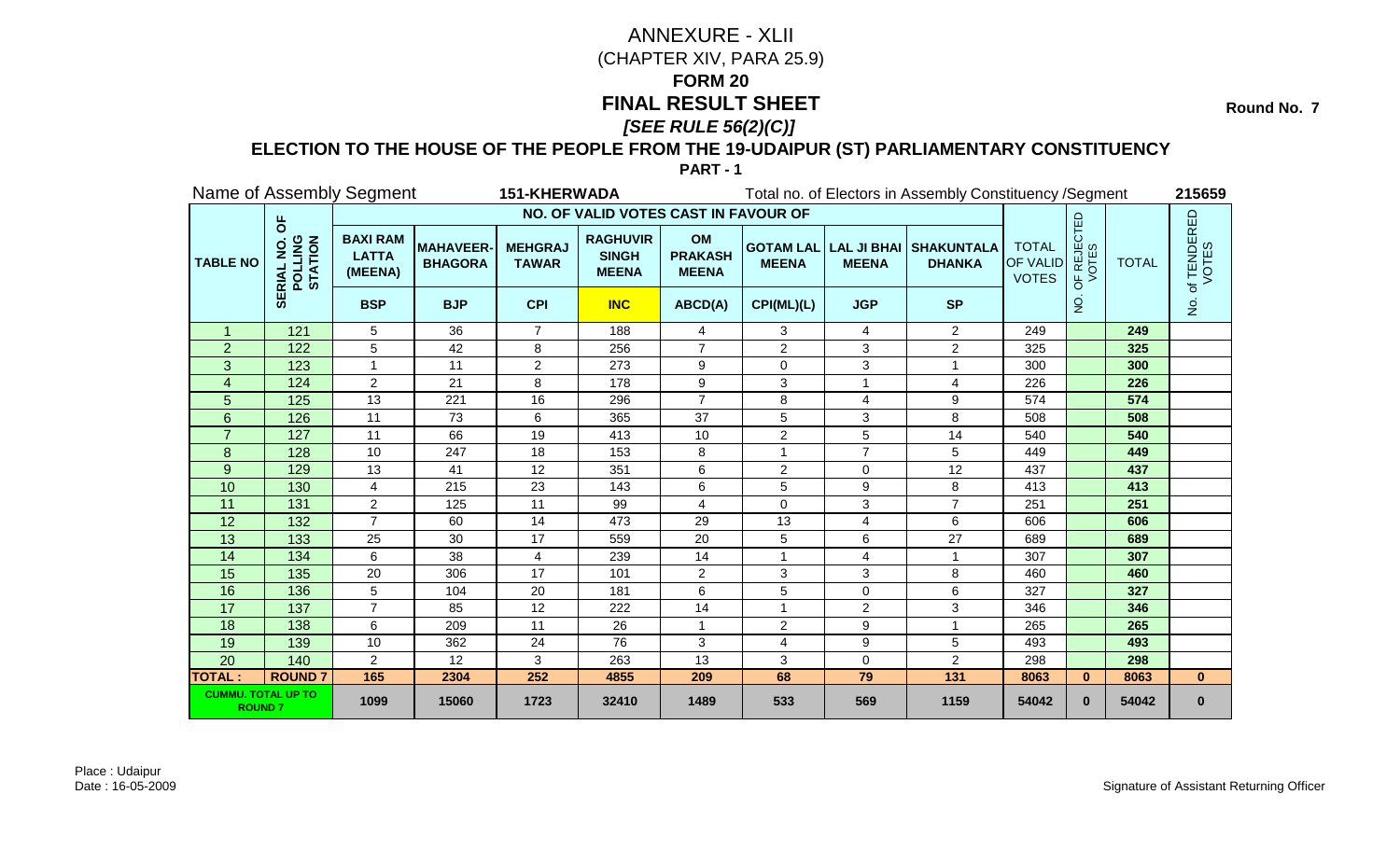**Round No. 7** 

### **ELECTION TO THE HOUSE OF THE PEOPLE FROM THE 19-UDAIPUR (ST) PARLIAMENTARY CONSTITUENCY**

|                                            |                                           | Name of Assembly Segment                   |                                    | 151-KHERWADA                   |                                                 |                                             |                |                         | Total no. of Electors in Assembly Constituency / Segment |                                                 |                                                 |              | 215659                                |
|--------------------------------------------|-------------------------------------------|--------------------------------------------|------------------------------------|--------------------------------|-------------------------------------------------|---------------------------------------------|----------------|-------------------------|----------------------------------------------------------|-------------------------------------------------|-------------------------------------------------|--------------|---------------------------------------|
|                                            |                                           |                                            |                                    |                                | NO. OF VALID VOTES CAST IN FAVOUR OF            |                                             |                |                         |                                                          |                                                 |                                                 |              |                                       |
| <b>TABLE NO</b>                            | $\overline{6}$<br>POLLING<br>STATION<br>ᇎ | <b>BAXI RAM</b><br><b>LATTA</b><br>(MEENA) | <b>MAHAVEER-</b><br><b>BHAGORA</b> | <b>MEHGRAJ</b><br><b>TAWAR</b> | <b>RAGHUVIR</b><br><b>SINGH</b><br><b>MEENA</b> | <b>OM</b><br><b>PRAKASH</b><br><b>MEENA</b> | <b>MEENA</b>   | <b>MEENA</b>            | <b>GOTAM LAL LAL JI BHAI SHAKUNTALA</b><br><b>DHANKA</b> | <b>TOTAL</b><br><b>OF VALID</b><br><b>VOTES</b> | <b>F REJECTED</b><br>VOTES<br>しょうしゃ しょうしゃ しょうしゃ | <b>TOTAL</b> | of TENDERED<br>VOTES                  |
|                                            | 5€                                        | <b>BSP</b>                                 | <b>BJP</b>                         | <b>CPI</b>                     | <b>INC</b>                                      | ABCD(A)                                     | CPI(ML)(L)     | <b>JGP</b>              | <b>SP</b>                                                |                                                 | $\overline{2}$                                  |              | $\frac{\dot{\mathsf{S}}}{\mathsf{Z}}$ |
| $\mathbf{1}$                               | 121                                       | 5                                          | 36                                 | $\overline{7}$                 | 188                                             | $\overline{4}$                              | 3              | $\overline{4}$          | $\overline{2}$                                           | 249                                             |                                                 | 249          |                                       |
| $\overline{2}$                             | 122                                       | 5                                          | 42                                 | 8                              | 256                                             | $\overline{7}$                              | $\overline{2}$ | 3                       | $\overline{a}$                                           | 325                                             |                                                 | 325          |                                       |
| 3                                          | 123                                       | 1                                          | 11                                 | $\overline{2}$                 | 273                                             | 9                                           | 0              | 3                       | 1                                                        | 300                                             |                                                 | 300          |                                       |
| 4                                          | 124                                       | $\overline{2}$                             | 21                                 | 8                              | 178                                             | 9                                           | 3              |                         | 4                                                        | 226                                             |                                                 | 226          |                                       |
| 5                                          | 125                                       | 13                                         | 221                                | 16                             | 296                                             | $\overline{7}$                              | 8              | 4                       | $\boldsymbol{9}$                                         | 574                                             |                                                 | 574          |                                       |
| $6\phantom{1}$                             | 126                                       | 11                                         | 73                                 | 6                              | 365                                             | 37                                          | 5              | $\mathbf{3}$            | 8                                                        | 508                                             |                                                 | 508          |                                       |
| $\overline{7}$                             | 127                                       | 11                                         | 66                                 | 19                             | 413                                             | 10                                          | $\overline{2}$ | 5                       | 14                                                       | 540                                             |                                                 | 540          |                                       |
| 8                                          | 128                                       | 10                                         | 247                                | 18                             | 153                                             | 8                                           | 1              | $\overline{7}$          | 5                                                        | 449                                             |                                                 | 449          |                                       |
| 9                                          | 129                                       | 13                                         | 41                                 | 12                             | 351                                             | 6                                           | 2              | $\mathbf 0$             | 12                                                       | 437                                             |                                                 | 437          |                                       |
| 10                                         | 130                                       | 4                                          | 215                                | 23                             | 143                                             | 6                                           | 5              | 9                       | 8                                                        | 413                                             |                                                 | 413          |                                       |
| 11                                         | 131                                       | $\overline{2}$                             | 125                                | 11                             | 99                                              | 4                                           | 0              | 3                       | $\overline{7}$                                           | 251                                             |                                                 | 251          |                                       |
| 12                                         | 132                                       | $\overline{7}$                             | 60                                 | 14                             | 473                                             | 29                                          | 13             | 4                       | 6                                                        | 606                                             |                                                 | 606          |                                       |
| 13                                         | 133                                       | 25                                         | 30                                 | 17                             | 559                                             | 20                                          | 5              | 6                       | 27                                                       | 689                                             |                                                 | 689          |                                       |
| 14                                         | 134                                       | 6                                          | 38                                 | $\overline{4}$                 | 239                                             | 14                                          | $\mathbf{1}$   | $\overline{\mathbf{4}}$ | $\mathbf{1}$                                             | 307                                             |                                                 | 307          |                                       |
| 15                                         | 135                                       | 20                                         | 306                                | 17                             | 101                                             | $\overline{2}$                              | 3              | 3                       | 8                                                        | 460                                             |                                                 | 460          |                                       |
| 16                                         | 136                                       | 5                                          | 104                                | 20                             | 181                                             | 6                                           | 5              | $\mathbf 0$             | 6                                                        | 327                                             |                                                 | 327          |                                       |
| 17                                         | 137                                       | $\overline{7}$                             | 85                                 | 12                             | 222                                             | 14                                          |                | 2                       | 3                                                        | 346                                             |                                                 | 346          |                                       |
| 18                                         | 138                                       | 6                                          | 209                                | 11                             | 26                                              | 1                                           | $\overline{2}$ | 9                       |                                                          | 265                                             |                                                 | 265          |                                       |
| 19                                         | 139                                       | 10                                         | 362                                | 24                             | 76                                              | 3                                           | 4              | 9                       | 5                                                        | 493                                             |                                                 | 493          |                                       |
| 20                                         | 140                                       | $\overline{2}$                             | 12                                 | 3                              | 263                                             | 13                                          | 3              | $\mathbf 0$             | $\overline{a}$                                           | 298                                             |                                                 | 298          |                                       |
| <b>TOTAL:</b>                              | <b>ROUND7</b>                             | 165                                        | 2304                               | 252                            | 4855                                            | 209                                         | 68             | 79                      | $\overline{131}$                                         | 8063                                            | $\bf{0}$                                        | 8063         | $\mathbf{0}$                          |
| <b>CUMMU. TOTAL UP TO</b><br><b>ROUND7</b> |                                           | 1099                                       | 15060                              | 1723                           | 32410                                           | 1489                                        | 533            | 569                     | 1159                                                     | 54042                                           | $\bf{0}$                                        | 54042        | $\bf{0}$                              |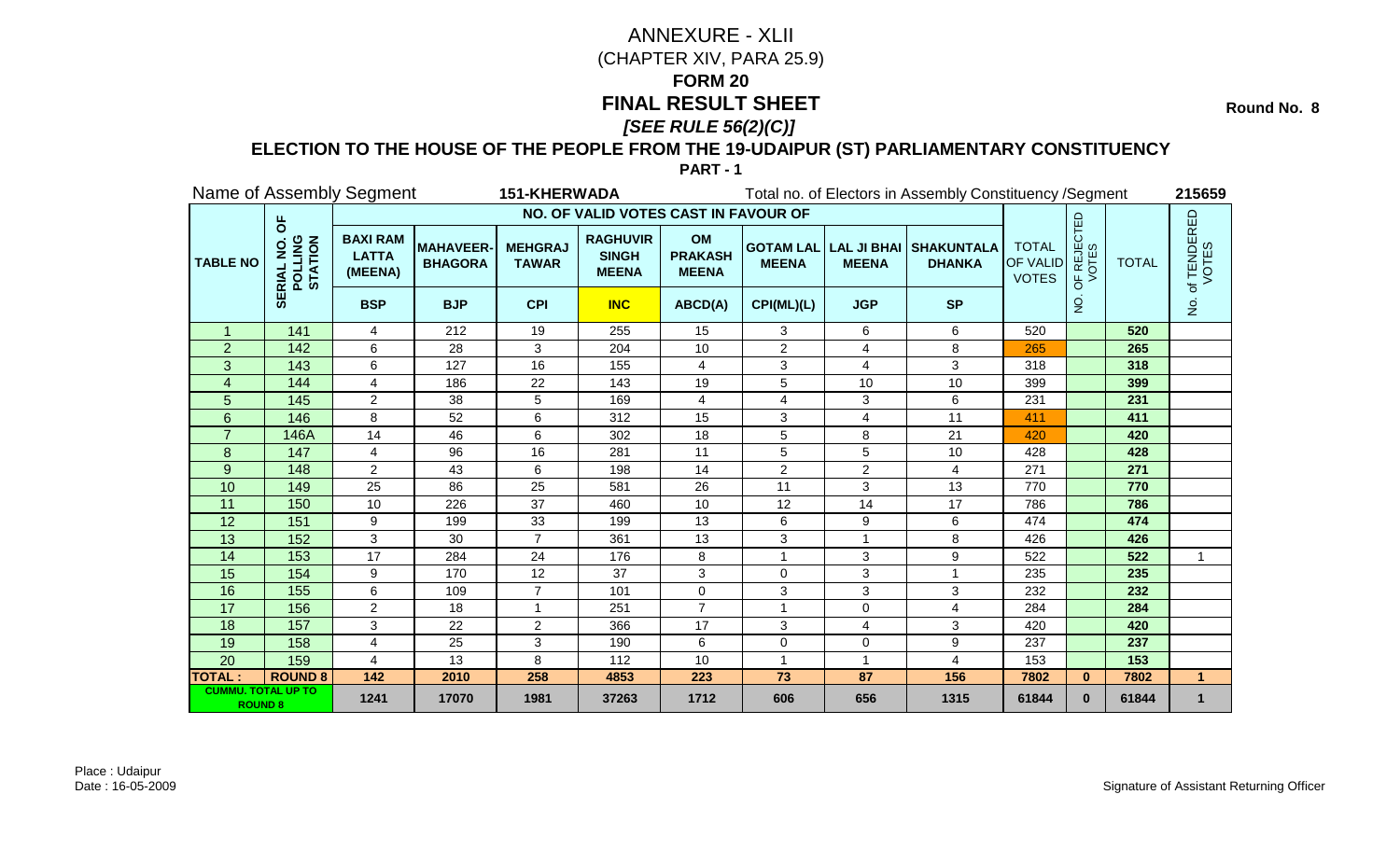**Round No. 8** 

### **ELECTION TO THE HOUSE OF THE PEOPLE FROM THE 19-UDAIPUR (ST) PARLIAMENTARY CONSTITUENCY**

|                                             |                                           | Name of Assembly Segment                   |                                    | <b>151-KHERWADA</b>            |                                                 |                                      |                |                | Total no. of Electors in Assembly Constituency / Segment |                                          |                                      |              | 215659               |
|---------------------------------------------|-------------------------------------------|--------------------------------------------|------------------------------------|--------------------------------|-------------------------------------------------|--------------------------------------|----------------|----------------|----------------------------------------------------------|------------------------------------------|--------------------------------------|--------------|----------------------|
|                                             |                                           |                                            |                                    |                                | NO. OF VALID VOTES CAST IN FAVOUR OF            |                                      |                |                |                                                          |                                          |                                      |              |                      |
| <b>TABLE NO</b>                             | $\overline{6}$<br>POLLING<br>STATION<br>œ | <b>BAXI RAM</b><br><b>LATTA</b><br>(MEENA) | <b>MAHAVEER-</b><br><b>BHAGORA</b> | <b>MEHGRAJ</b><br><b>TAWAR</b> | <b>RAGHUVIR</b><br><b>SINGH</b><br><b>MEENA</b> | OM<br><b>PRAKASH</b><br><b>MEENA</b> | <b>MEENA</b>   | <b>MEENA</b>   | <b>GOTAM LAL LAL JI BHAI SHAKUNTALA</b><br><b>DHANKA</b> | <b>TOTAL</b><br>OF VALID<br><b>VOTES</b> | <b>F REJECTED</b><br>VOTES<br>b<br>O | <b>TOTAL</b> | of TENDERED<br>VOTES |
|                                             | ₩                                         | <b>BSP</b>                                 | <b>BJP</b>                         | <b>CPI</b>                     | <b>INC</b>                                      | ABCD(A)                              | CPI(ML)(L)     | <b>JGP</b>     | <b>SP</b>                                                |                                          | $\overline{2}$                       |              | $\frac{1}{2}$        |
| $\mathbf{1}$                                | 141                                       | 4                                          | 212                                | 19                             | 255                                             | 15                                   | 3              | 6              | 6                                                        | 520                                      |                                      | 520          |                      |
| $\overline{2}$                              | 142                                       | 6                                          | 28                                 | 3                              | 204                                             | 10                                   | $\overline{2}$ | 4              | 8                                                        | 265                                      |                                      | 265          |                      |
| 3                                           | 143                                       | 6                                          | 127                                | 16                             | 155                                             | 4                                    | 3              | 4              | 3                                                        | 318                                      |                                      | 318          |                      |
| $\overline{\mathbf{4}}$                     | 144                                       | 4                                          | 186                                | 22                             | 143                                             | 19                                   | 5              | 10             | 10                                                       | 399                                      |                                      | 399          |                      |
| 5                                           | 145                                       | $\overline{2}$                             | 38                                 | 5                              | 169                                             | $\overline{4}$                       | 4              | $\sqrt{3}$     | 6                                                        | 231                                      |                                      | 231          |                      |
| 6                                           | 146                                       | 8                                          | 52                                 | 6                              | 312                                             | 15                                   | 3              | $\overline{4}$ | 11                                                       | 411                                      |                                      | 411          |                      |
| $\overline{7}$                              | 146A                                      | 14                                         | 46                                 | 6                              | 302                                             | 18                                   | 5              | 8              | 21                                                       | 420                                      |                                      | 420          |                      |
| 8                                           | 147                                       | $\overline{4}$                             | 96                                 | 16                             | 281                                             | 11                                   | 5              | 5              | 10                                                       | 428                                      |                                      | 428          |                      |
| 9                                           | 148                                       | $\overline{2}$                             | 43                                 | 6                              | 198                                             | 14                                   | $\overline{2}$ | 2              | 4                                                        | 271                                      |                                      | 271          |                      |
| 10                                          | 149                                       | 25                                         | 86                                 | 25                             | 581                                             | 26                                   | 11             | 3              | 13                                                       | 770                                      |                                      | 770          |                      |
| 11                                          | 150                                       | 10                                         | 226                                | 37                             | 460                                             | 10                                   | 12             | 14             | 17                                                       | 786                                      |                                      | 786          |                      |
| 12                                          | 151                                       | 9                                          | 199                                | 33                             | 199                                             | 13                                   | 6              | 9              | 6                                                        | 474                                      |                                      | 474          |                      |
| 13                                          | 152                                       | 3                                          | 30                                 | $\overline{7}$                 | 361                                             | 13                                   | 3              |                | 8                                                        | 426                                      |                                      | 426          |                      |
| 14                                          | 153                                       | 17                                         | 284                                | 24                             | 176                                             | 8                                    | 1              | $\mathbf{3}$   | 9                                                        | 522                                      |                                      | 522          | 1                    |
| 15                                          | 154                                       | 9                                          | 170                                | 12                             | 37                                              | 3                                    | $\mathbf 0$    | $\sqrt{3}$     | 1                                                        | 235                                      |                                      | 235          |                      |
| 16                                          | 155                                       | 6                                          | 109                                | $\overline{7}$                 | 101                                             | $\Omega$                             | 3              | $\mathbf{3}$   | 3                                                        | 232                                      |                                      | 232          |                      |
| 17                                          | 156                                       | $\overline{2}$                             | 18                                 | $\blacktriangleleft$           | 251                                             | $\overline{7}$                       | 1              | $\mathbf 0$    | 4                                                        | 284                                      |                                      | 284          |                      |
| 18                                          | 157                                       | 3                                          | 22                                 | $\overline{2}$                 | 366                                             | 17                                   | 3              | $\overline{4}$ | 3                                                        | 420                                      |                                      | 420          |                      |
| 19                                          | 158                                       | $\overline{4}$                             | 25                                 | 3                              | 190                                             | 6                                    | 0              | $\Omega$       | 9                                                        | 237                                      |                                      | 237          |                      |
| 20                                          | 159                                       | 4                                          | 13                                 | 8                              | 112                                             | 10                                   |                |                | 4                                                        | 153                                      |                                      | 153          |                      |
| <b>TOTAL:</b>                               | <b>ROUND 8</b>                            | $\overline{142}$                           | 2010                               | 258                            | 4853                                            | 223                                  | 73             | 87             | 156                                                      | 7802                                     | $\bf{0}$                             | 7802         | $\blacktriangleleft$ |
| <b>CUMMU. TOTAL UP TO</b><br><b>ROUND 8</b> |                                           | 1241                                       | 17070                              | 1981                           | 37263                                           | 1712                                 | 606            | 656            | 1315                                                     | 61844                                    | $\bf{0}$                             | 61844        | $\mathbf 1$          |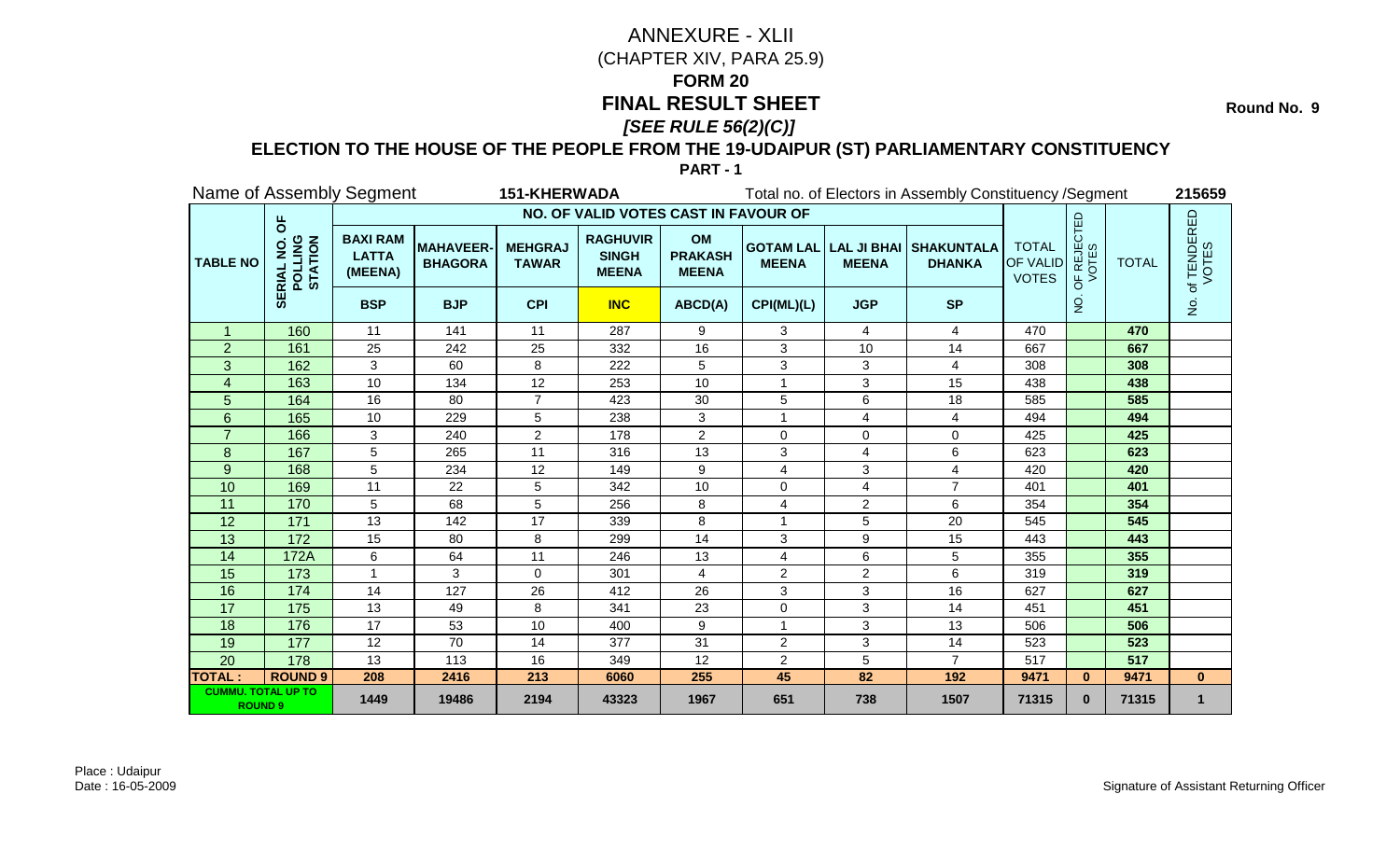**Round No. 9** 

### **ELECTION TO THE HOUSE OF THE PEOPLE FROM THE 19-UDAIPUR (ST) PARLIAMENTARY CONSTITUENCY**

|                                             |                                                  | Name of Assembly Segment                   |                                   | <b>151-KHERWADA</b>            |                                                 |                                             |                |                  | Total no. of Electors in Assembly Constituency / Segment |                                                 |                                               |              | 215659               |
|---------------------------------------------|--------------------------------------------------|--------------------------------------------|-----------------------------------|--------------------------------|-------------------------------------------------|---------------------------------------------|----------------|------------------|----------------------------------------------------------|-------------------------------------------------|-----------------------------------------------|--------------|----------------------|
|                                             |                                                  |                                            |                                   |                                | NO. OF VALID VOTES CAST IN FAVOUR OF            |                                             |                |                  |                                                          |                                                 |                                               |              |                      |
| <b>TABLE NO</b>                             | $\overline{6}$<br><b>POLLING</b><br>STATION<br>ᄒ | <b>BAXI RAM</b><br><b>LATTA</b><br>(MEENA) | <b>MAHAVEER</b><br><b>BHAGORA</b> | <b>MEHGRAJ</b><br><b>TAWAR</b> | <b>RAGHUVIR</b><br><b>SINGH</b><br><b>MEENA</b> | <b>OM</b><br><b>PRAKASH</b><br><b>MEENA</b> | <b>MEENA</b>   | <b>MEENA</b>     | <b>GOTAM LAL LAL JI BHAI SHAKUNTALA</b><br><b>DHANKA</b> | <b>TOTAL</b><br><b>OF VALID</b><br><b>VOTES</b> | <b>PF REJECTED</b><br>VOTES<br>$\overline{0}$ | <b>TOTAL</b> | of TENDERED<br>VOTES |
|                                             | ₩                                                | <b>BSP</b>                                 | <b>BJP</b>                        | <b>CPI</b>                     | <b>INC</b>                                      | ABCD(A)                                     | CPI(ML)(L)     | <b>JGP</b>       | <b>SP</b>                                                |                                                 | $\overline{5}$                                |              | $\dot{\mathsf{S}}$   |
| $\mathbf{1}$                                | 160                                              | 11                                         | 141                               | 11                             | 287                                             | 9                                           | 3              | 4                | 4                                                        | 470                                             |                                               | 470          |                      |
| $\overline{2}$                              | 161                                              | 25                                         | 242                               | 25                             | 332                                             | 16                                          | 3              | 10               | 14                                                       | 667                                             |                                               | 667          |                      |
| 3                                           | 162                                              | 3                                          | 60                                | 8                              | 222                                             | 5                                           | 3              | 3                | 4                                                        | 308                                             |                                               | 308          |                      |
| $\overline{4}$                              | 163                                              | 10                                         | 134                               | 12                             | 253                                             | 10                                          |                | $\mathbf{3}$     | 15                                                       | 438                                             |                                               | 438          |                      |
| 5                                           | 164                                              | 16                                         | 80                                | $\overline{7}$                 | 423                                             | 30                                          | 5              | 6                | 18                                                       | 585                                             |                                               | 585          |                      |
| 6                                           | 165                                              | 10                                         | 229                               | 5                              | 238                                             | 3                                           |                | 4                | 4                                                        | 494                                             |                                               | 494          |                      |
|                                             | 166                                              | 3                                          | 240                               | $\overline{2}$                 | 178                                             | $\overline{2}$                              | $\Omega$       | 0                | 0                                                        | 425                                             |                                               | 425          |                      |
| 8                                           | 167                                              | 5                                          | 265                               | $\overline{11}$                | 316                                             | 13                                          | 3              | $\overline{4}$   | 6                                                        | 623                                             |                                               | 623          |                      |
| 9                                           | 168                                              | 5                                          | 234                               | 12                             | 149                                             | 9                                           | 4              | 3                | 4                                                        | 420                                             |                                               | 420          |                      |
| 10                                          | 169                                              | 11                                         | 22                                | 5                              | 342                                             | 10                                          | $\Omega$       | 4                | $\overline{7}$                                           | 401                                             |                                               | 401          |                      |
| 11                                          | 170                                              | 5                                          | 68                                | 5                              | 256                                             | 8                                           | 4              | $\overline{c}$   | 6                                                        | 354                                             |                                               | 354          |                      |
| 12                                          | 171                                              | 13                                         | 142                               | 17                             | 339                                             | 8                                           |                | 5                | 20                                                       | 545                                             |                                               | 545          |                      |
| 13                                          | 172                                              | 15                                         | 80                                | 8                              | 299                                             | 14                                          | 3              | $\boldsymbol{9}$ | 15                                                       | 443                                             |                                               | 443          |                      |
| 14                                          | 172A                                             | 6                                          | 64                                | 11                             | 246                                             | 13                                          | 4              | 6                | 5                                                        | 355                                             |                                               | 355          |                      |
| 15                                          | 173                                              | 1                                          | 3                                 | $\Omega$                       | 301                                             | 4                                           | $\overline{2}$ | $\overline{2}$   | 6                                                        | 319                                             |                                               | 319          |                      |
| 16                                          | 174                                              | 14                                         | 127                               | 26                             | 412                                             | 26                                          | 3              | 3                | 16                                                       | 627                                             |                                               | 627          |                      |
| 17                                          | 175                                              | 13                                         | 49                                | 8                              | 341                                             | 23                                          | $\Omega$       | 3                | 14                                                       | 451                                             |                                               | 451          |                      |
| 18                                          | 176                                              | $\overline{17}$                            | 53                                | 10                             | 400                                             | 9                                           |                | $\mathbf{3}$     | 13                                                       | 506                                             |                                               | 506          |                      |
| 19                                          | 177                                              | 12                                         | 70                                | 14                             | 377                                             | 31                                          | $\overline{2}$ | 3                | 14                                                       | 523                                             |                                               | 523          |                      |
| 20                                          | 178                                              | 13                                         | 113                               | 16                             | 349                                             | 12                                          | $\overline{2}$ | 5                | $\overline{7}$                                           | 517                                             |                                               | 517          |                      |
| <b>TOTAL:</b>                               | <b>ROUND 9</b>                                   | 208                                        | 2416                              | 213                            | 6060                                            | 255                                         | 45             | 82               | 192                                                      | 9471                                            | $\mathbf{0}$                                  | 9471         | $\mathbf{0}$         |
| <b>CUMMU. TOTAL UP TO</b><br><b>ROUND 9</b> |                                                  | 1449                                       | 19486                             | 2194                           | 43323                                           | 1967                                        | 651            | 738              | 1507                                                     | 71315                                           | $\bf{0}$                                      | 71315        | $\mathbf 1$          |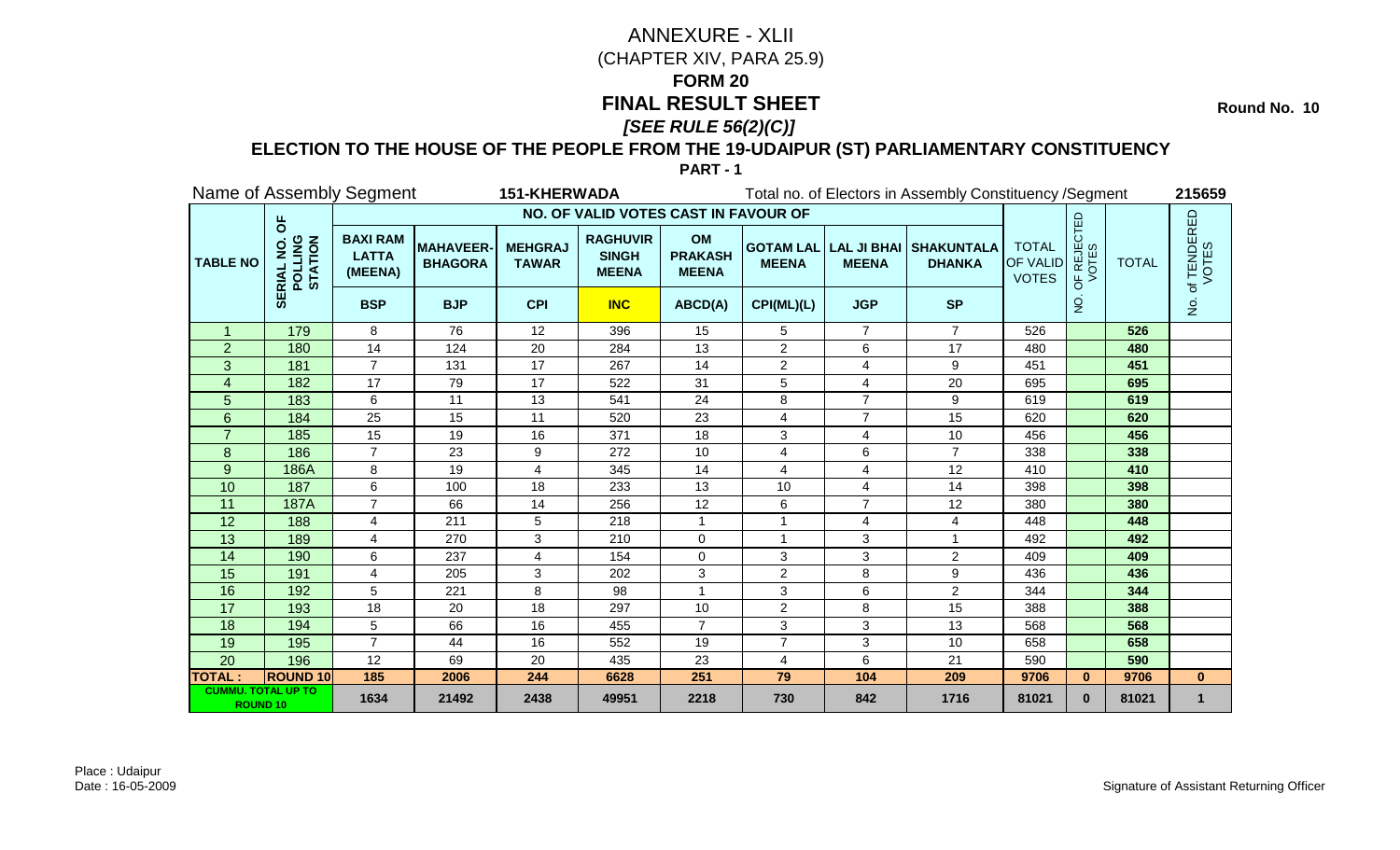**Round No. 10** 

### **ELECTION TO THE HOUSE OF THE PEOPLE FROM THE 19-UDAIPUR (ST) PARLIAMENTARY CONSTITUENCY**

|                                              |                                           | Name of Assembly Segment                   |                                   | <b>151-KHERWADA</b>            |                                                 |                                             |                |                | Total no. of Electors in Assembly Constituency / Segment |                                                 |                                               |              | 215659                 |
|----------------------------------------------|-------------------------------------------|--------------------------------------------|-----------------------------------|--------------------------------|-------------------------------------------------|---------------------------------------------|----------------|----------------|----------------------------------------------------------|-------------------------------------------------|-----------------------------------------------|--------------|------------------------|
|                                              |                                           |                                            |                                   |                                | NO. OF VALID VOTES CAST IN FAVOUR OF            |                                             |                |                |                                                          |                                                 |                                               |              |                        |
| <b>TABLE NO</b>                              | $\overline{6}$<br>POLLING<br>STATION<br>ᇎ | <b>BAXI RAM</b><br><b>LATTA</b><br>(MEENA) | <b>MAHAVEER</b><br><b>BHAGORA</b> | <b>MEHGRAJ</b><br><b>TAWAR</b> | <b>RAGHUVIR</b><br><b>SINGH</b><br><b>MEENA</b> | <b>OM</b><br><b>PRAKASH</b><br><b>MEENA</b> | <b>MEENA</b>   | <b>MEENA</b>   | <b>GOTAM LAL LAL JI BHAI SHAKUNTALA</b><br><b>DHANKA</b> | <b>TOTAL</b><br><b>OF VALID</b><br><b>VOTES</b> | <b>PF REJECTED</b><br>VOTES<br>$\overline{5}$ | <b>TOTAL</b> | . of TENDERED<br>VOTES |
|                                              | ₩                                         | <b>BSP</b>                                 | <b>BJP</b>                        | <b>CPI</b>                     | <b>INC</b>                                      | ABCD(A)                                     | CPI(ML)(L)     | <b>JGP</b>     | <b>SP</b>                                                |                                                 | $\overline{5}$                                |              | ι.<br>Σ                |
| $\mathbf 1$                                  | 179                                       | 8                                          | 76                                | 12                             | 396                                             | 15                                          | 5              | $\overline{7}$ | $\overline{7}$                                           | 526                                             |                                               | 526          |                        |
| $\overline{2}$                               | 180                                       | 14                                         | 124                               | 20                             | 284                                             | 13                                          | $\overline{2}$ | 6              | 17                                                       | 480                                             |                                               | 480          |                        |
| 3                                            | 181                                       | 7                                          | 131                               | 17                             | 267                                             | 14                                          | $\overline{2}$ | 4              | 9                                                        | 451                                             |                                               | 451          |                        |
| $\overline{4}$                               | 182                                       | 17                                         | 79                                | 17                             | 522                                             | 31                                          | 5              | 4              | 20                                                       | 695                                             |                                               | 695          |                        |
| 5                                            | 183                                       | 6                                          | 11                                | 13                             | 541                                             | 24                                          | 8              | $\overline{7}$ | 9                                                        | 619                                             |                                               | 619          |                        |
| 6                                            | 184                                       | 25                                         | 15                                | 11                             | 520                                             | 23                                          | 4              | $\overline{7}$ | 15                                                       | 620                                             |                                               | 620          |                        |
|                                              | 185                                       | 15                                         | 19                                | 16                             | 371                                             | 18                                          | 3              | 4              | 10                                                       | 456                                             |                                               | 456          |                        |
| 8                                            | 186                                       | $\overline{7}$                             | 23                                | 9                              | 272                                             | 10                                          | 4              | 6              | $\overline{7}$                                           | 338                                             |                                               | 338          |                        |
| 9                                            | 186A                                      | 8                                          | 19                                | $\overline{4}$                 | 345                                             | 14                                          | 4              | 4              | 12                                                       | 410                                             |                                               | 410          |                        |
| 10                                           | 187                                       | 6                                          | 100                               | 18                             | 233                                             | 13                                          | 10             | $\overline{4}$ | 14                                                       | 398                                             |                                               | 398          |                        |
| 11                                           | <b>187A</b>                               | $\overline{7}$                             | 66                                | 14                             | 256                                             | 12                                          | 6              | $\overline{7}$ | 12                                                       | 380                                             |                                               | 380          |                        |
| 12                                           | 188                                       | $\overline{\mathbf{4}}$                    | 211                               | 5                              | 218                                             |                                             |                | 4              | 4                                                        | 448                                             |                                               | 448          |                        |
| 13                                           | 189                                       | 4                                          | 270                               | 3                              | 210                                             | 0                                           |                | 3              |                                                          | 492                                             |                                               | 492          |                        |
| 14                                           | 190                                       | 6                                          | 237                               | $\overline{4}$                 | 154                                             | $\Omega$                                    | 3              | 3              | $\overline{2}$                                           | 409                                             |                                               | 409          |                        |
| 15                                           | 191                                       | 4                                          | 205                               | 3                              | 202                                             | 3                                           | $\overline{2}$ | 8              | 9                                                        | 436                                             |                                               | 436          |                        |
| 16                                           | 192                                       | 5                                          | 221                               | 8                              | 98                                              |                                             | 3              | 6              | $\overline{2}$                                           | 344                                             |                                               | 344          |                        |
| 17                                           | 193                                       | 18                                         | 20                                | 18                             | 297                                             | 10                                          | $\overline{2}$ | 8              | 15                                                       | 388                                             |                                               | 388          |                        |
| 18                                           | 194                                       | 5                                          | 66                                | 16                             | 455                                             | $\overline{7}$                              | 3              | 3              | 13                                                       | 568                                             |                                               | 568          |                        |
| 19                                           | 195                                       | $\overline{7}$                             | 44                                | 16                             | 552                                             | 19                                          | $\overline{7}$ | 3              | 10                                                       | 658                                             |                                               | 658          |                        |
| 20                                           | 196                                       | 12                                         | 69                                | 20                             | 435                                             | 23                                          | 4              | 6              | 21                                                       | 590                                             |                                               | 590          |                        |
| <b>TOTAL:</b>                                | <b>ROUND 10</b>                           | 185                                        | 2006                              | 244                            | 6628                                            | 251                                         | 79             | 104            | 209                                                      | 9706                                            | $\mathbf{0}$                                  | 9706         | $\mathbf{0}$           |
| <b>CUMMU. TOTAL UP TO</b><br><b>ROUND 10</b> |                                           | 1634                                       | 21492                             | 2438                           | 49951                                           | 2218                                        | 730            | 842            | 1716                                                     | 81021                                           | $\bf{0}$                                      | 81021        | $\mathbf 1$            |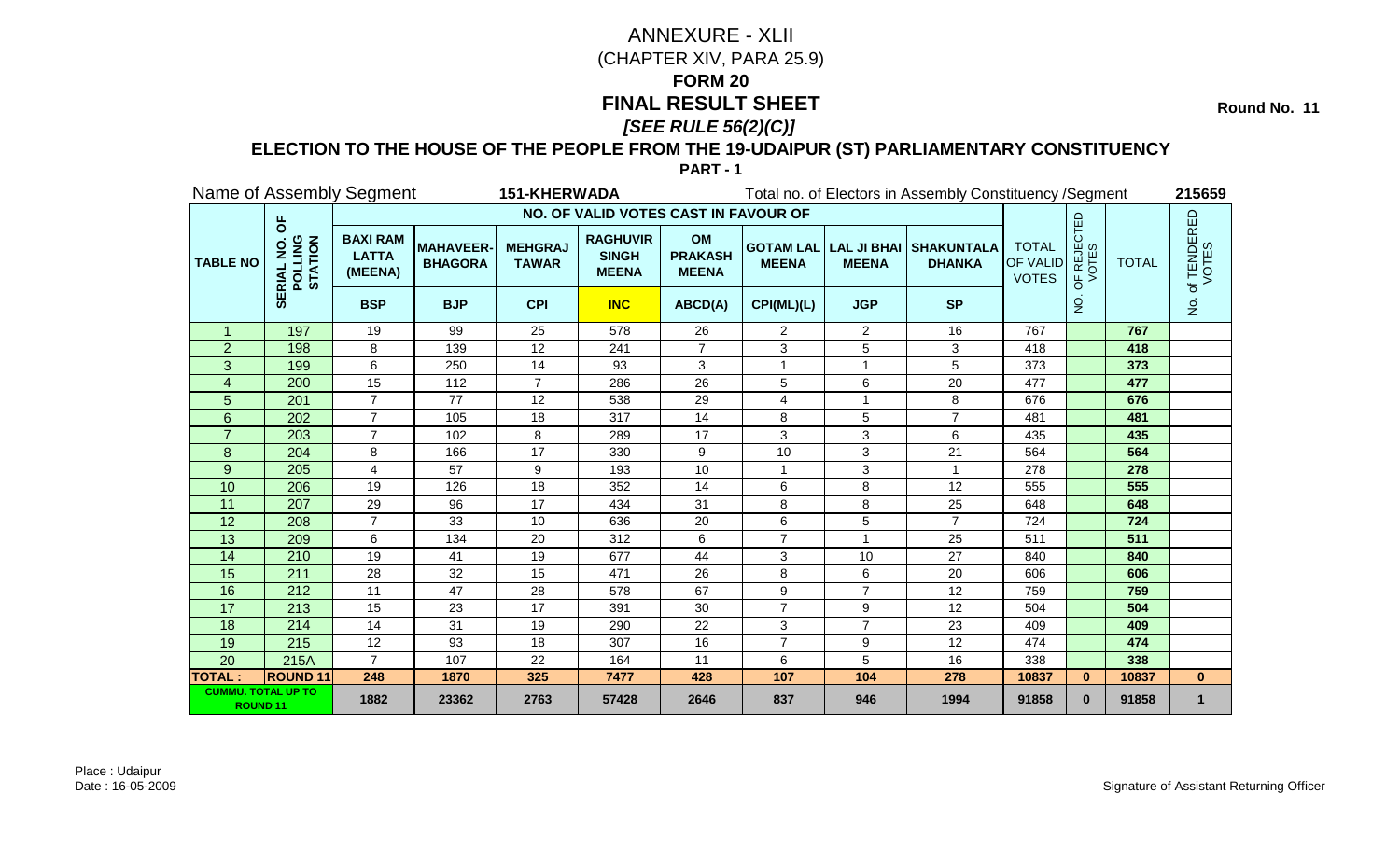**Round No. 11** 

### **ELECTION TO THE HOUSE OF THE PEOPLE FROM THE 19-UDAIPUR (ST) PARLIAMENTARY CONSTITUENCY**

|                                              |                                 | Name of Assembly Segment                   |                                   | <b>151-KHERWADA</b>            |                                                 |                                             |                |                  | Total no. of Electors in Assembly Constituency / Segment |                                                 |                                               |              | 215659                                |
|----------------------------------------------|---------------------------------|--------------------------------------------|-----------------------------------|--------------------------------|-------------------------------------------------|---------------------------------------------|----------------|------------------|----------------------------------------------------------|-------------------------------------------------|-----------------------------------------------|--------------|---------------------------------------|
|                                              |                                 |                                            |                                   |                                | NO. OF VALID VOTES CAST IN FAVOUR OF            |                                             |                |                  |                                                          |                                                 |                                               |              |                                       |
| <b>TABLE NO</b>                              | pp<br>POLLING<br>STATION<br>RIA | <b>BAXI RAM</b><br><b>LATTA</b><br>(MEENA) | <b>MAHAVEER</b><br><b>BHAGORA</b> | <b>MEHGRAJ</b><br><b>TAWAR</b> | <b>RAGHUVIR</b><br><b>SINGH</b><br><b>MEENA</b> | <b>OM</b><br><b>PRAKASH</b><br><b>MEENA</b> | <b>MEENA</b>   | <b>MEENA</b>     | <b>GOTAM LAL LAL JI BHAI SHAKUNTALA</b><br><b>DHANKA</b> | <b>TOTAL</b><br><b>OF VALID</b><br><b>VOTES</b> | <b>PF REJECTED</b><br>VOTES<br>$\overline{5}$ | <b>TOTAL</b> | . of TENDERED<br>VOTES                |
|                                              | ₩                               | <b>BSP</b>                                 | <b>BJP</b>                        | <b>CPI</b>                     | <b>INC</b>                                      | ABCD(A)                                     | CPI(ML)(L)     | <b>JGP</b>       | <b>SP</b>                                                |                                                 | $\overline{5}$                                |              | $\frac{\dot{\mathsf{S}}}{\mathsf{Z}}$ |
| $\mathbf{1}$                                 | 197                             | 19                                         | 99                                | 25                             | 578                                             | 26                                          | $\overline{2}$ | 2                | 16                                                       | 767                                             |                                               | 767          |                                       |
| $\overline{2}$                               | 198                             | 8                                          | 139                               | 12                             | 241                                             | $\overline{7}$                              | 3              | 5                | 3                                                        | 418                                             |                                               | 418          |                                       |
| 3                                            | 199                             | 6                                          | 250                               | 14                             | 93                                              | 3                                           |                |                  | 5                                                        | 373                                             |                                               | 373          |                                       |
| $\overline{4}$                               | 200                             | $\overline{15}$                            | 112                               | $\overline{7}$                 | 286                                             | 26                                          | 5              | $\,6$            | $\overline{20}$                                          | 477                                             |                                               | 477          |                                       |
| 5                                            | 201                             | $\overline{7}$                             | 77                                | 12                             | 538                                             | 29                                          | 4              | -1               | 8                                                        | 676                                             |                                               | 676          |                                       |
| 6                                            | 202                             | $\overline{7}$                             | 105                               | 18                             | 317                                             | 14                                          | 8              | 5                | $\overline{7}$                                           | 481                                             |                                               | 481          |                                       |
|                                              | 203                             | $\overline{7}$                             | 102                               | 8                              | 289                                             | 17                                          | 3              | 3                | 6                                                        | 435                                             |                                               | 435          |                                       |
| 8                                            | 204                             | 8                                          | 166                               | $\overline{17}$                | 330                                             | 9                                           | 10             | 3                | 21                                                       | 564                                             |                                               | 564          |                                       |
| 9                                            | 205                             | 4                                          | 57                                | 9                              | 193                                             | 10                                          |                | 3                |                                                          | 278                                             |                                               | 278          |                                       |
| 10                                           | 206                             | 19                                         | 126                               | 18                             | 352                                             | 14                                          | 6              | 8                | 12                                                       | 555                                             |                                               | 555          |                                       |
| 11                                           | 207                             | 29                                         | 96                                | 17                             | 434                                             | 31                                          | 8              | 8                | 25                                                       | 648                                             |                                               | 648          |                                       |
| 12                                           | 208                             | $\overline{7}$                             | 33                                | 10                             | 636                                             | 20                                          | 6              | 5                | $\overline{7}$                                           | 724                                             |                                               | 724          |                                       |
| 13                                           | 209                             | 6                                          | 134                               | 20                             | 312                                             | 6                                           | $\overline{7}$ |                  | 25                                                       | 511                                             |                                               | 511          |                                       |
| 14                                           | 210                             | 19                                         | 41                                | 19                             | 677                                             | 44                                          | 3              | 10               | 27                                                       | 840                                             |                                               | 840          |                                       |
| 15                                           | 211                             | 28                                         | 32                                | 15                             | 471                                             | 26                                          | 8              | 6                | 20                                                       | 606                                             |                                               | 606          |                                       |
| 16                                           | 212                             | 11                                         | 47                                | 28                             | 578                                             | 67                                          | 9              | $\overline{7}$   | 12                                                       | 759                                             |                                               | 759          |                                       |
| 17                                           | 213                             | 15                                         | 23                                | 17                             | 391                                             | 30                                          | $\overline{7}$ | $\boldsymbol{9}$ | 12                                                       | 504                                             |                                               | 504          |                                       |
| 18                                           | 214                             | 14                                         | 31                                | 19                             | 290                                             | 22                                          | 3              | $\overline{7}$   | 23                                                       | 409                                             |                                               | 409          |                                       |
| 19                                           | 215                             | 12                                         | 93                                | 18                             | 307                                             | 16                                          | $\overline{7}$ | 9                | 12                                                       | 474                                             |                                               | 474          |                                       |
| 20                                           | 215A                            | $\overline{7}$                             | 107                               | 22                             | 164                                             | 11                                          | 6              | 5                | 16                                                       | 338                                             |                                               | 338          |                                       |
| <b>TOTAL:</b>                                | <b>ROUND 11</b>                 | 248                                        | 1870                              | 325                            | 7477                                            | 428                                         | 107            | 104              | 278                                                      | 10837                                           | $\bf{0}$                                      | 10837        | $\mathbf{0}$                          |
| <b>CUMMU. TOTAL UP TO</b><br><b>ROUND 11</b> |                                 | 1882                                       | 23362                             | 2763                           | 57428                                           | 2646                                        | 837            | 946              | 1994                                                     | 91858                                           | $\bf{0}$                                      | 91858        | $\mathbf 1$                           |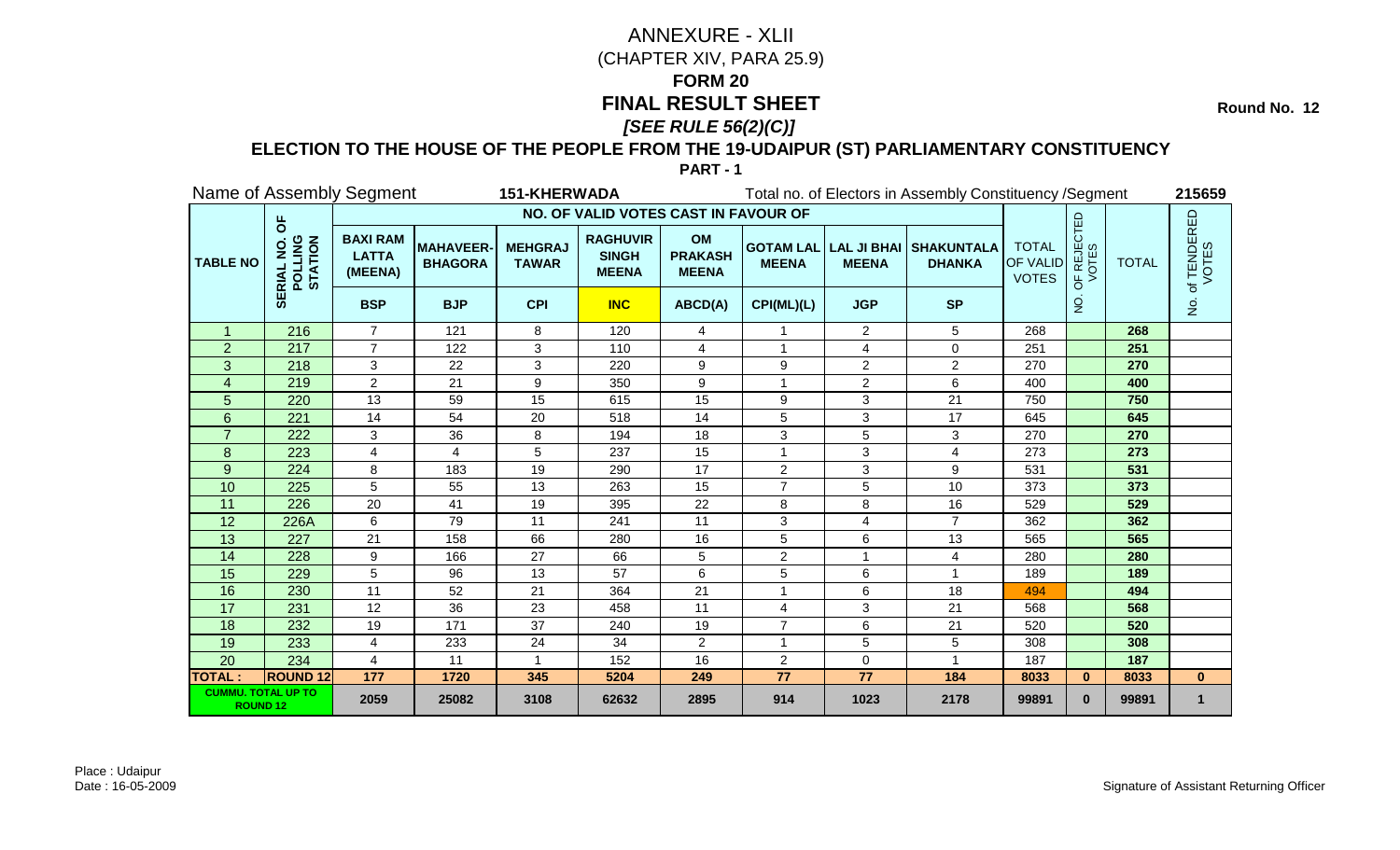**Round No. 12** 

### **ELECTION TO THE HOUSE OF THE PEOPLE FROM THE 19-UDAIPUR (ST) PARLIAMENTARY CONSTITUENCY**

|                                              |                                           | Name of Assembly Segment                   |                                   | 151-KHERWADA                   |                                                 |                                             |                |                | Total no. of Electors in Assembly Constituency / Segment |                                          |                                               |              | 215659                 |
|----------------------------------------------|-------------------------------------------|--------------------------------------------|-----------------------------------|--------------------------------|-------------------------------------------------|---------------------------------------------|----------------|----------------|----------------------------------------------------------|------------------------------------------|-----------------------------------------------|--------------|------------------------|
|                                              |                                           |                                            |                                   |                                | NO. OF VALID VOTES CAST IN FAVOUR OF            |                                             |                |                |                                                          |                                          |                                               |              |                        |
| <b>TABLE NO</b>                              | $\overline{5}$<br>POLLING<br>STATION<br>ᇎ | <b>BAXI RAM</b><br><b>LATTA</b><br>(MEENA) | <b>MAHAVEER</b><br><b>BHAGORA</b> | <b>MEHGRAJ</b><br><b>TAWAR</b> | <b>RAGHUVIR</b><br><b>SINGH</b><br><b>MEENA</b> | <b>OM</b><br><b>PRAKASH</b><br><b>MEENA</b> | <b>MEENA</b>   | <b>MEENA</b>   | <b>GOTAM LAL LAL JI BHAI SHAKUNTALA</b><br><b>DHANKA</b> | <b>TOTAL</b><br>OF VALID<br><b>VOTES</b> | <b>JF REJECTED</b><br>VOTES<br>$\overline{5}$ | <b>TOTAL</b> | . of TENDERED<br>VOTES |
|                                              | —<br>SEi                                  | <b>BSP</b>                                 | <b>BJP</b>                        | <b>CPI</b>                     | <b>INC</b>                                      | ABCD(A)                                     | CPI(ML)(L)     | <b>JGP</b>     | <b>SP</b>                                                |                                          | $\overline{5}$                                |              | $\dot{\mathsf{p}}$     |
| $\mathbf 1$                                  | 216                                       | $\overline{7}$                             | 121                               | 8                              | 120                                             | 4                                           |                | $\overline{2}$ | 5                                                        | 268                                      |                                               | 268          |                        |
| $\overline{2}$                               | 217                                       | $\overline{7}$                             | 122                               | 3                              | 110                                             | 4                                           |                | $\overline{4}$ | $\Omega$                                                 | 251                                      |                                               | 251          |                        |
| 3                                            | 218                                       | 3                                          | 22                                | 3                              | 220                                             | 9                                           | 9              | 2              | $\overline{2}$                                           | 270                                      |                                               | 270          |                        |
| 4                                            | 219                                       | $\overline{2}$                             | 21                                | 9                              | 350                                             | 9                                           |                | $\overline{c}$ | 6                                                        | 400                                      |                                               | 400          |                        |
| 5                                            | 220                                       | 13                                         | 59                                | 15                             | 615                                             | 15                                          | 9              | 3              | 21                                                       | 750                                      |                                               | 750          |                        |
| 6                                            | 221                                       | 14                                         | 54                                | 20                             | 518                                             | 14                                          | 5              | 3              | 17                                                       | 645                                      |                                               | 645          |                        |
|                                              | 222                                       | 3                                          | 36                                | 8                              | 194                                             | 18                                          | 3              | 5              | 3                                                        | 270                                      |                                               | 270          |                        |
| 8                                            | 223                                       | 4                                          | 4                                 | 5                              | 237                                             | 15                                          |                | 3              | 4                                                        | 273                                      |                                               | 273          |                        |
| 9                                            | 224                                       | 8                                          | 183                               | 19                             | 290                                             | 17                                          | 2              | 3              | 9                                                        | 531                                      |                                               | 531          |                        |
| 10                                           | 225                                       | 5                                          | 55                                | 13                             | 263                                             | 15                                          | $\overline{7}$ | 5              | 10                                                       | 373                                      |                                               | 373          |                        |
| 11                                           | 226                                       | 20                                         | 41                                | 19                             | 395                                             | 22                                          | 8              | 8              | 16                                                       | 529                                      |                                               | 529          |                        |
| 12                                           | 226A                                      | 6                                          | 79                                | 11                             | 241                                             | 11                                          | 3              | 4              | 7                                                        | 362                                      |                                               | 362          |                        |
| 13                                           | 227                                       | 21                                         | 158                               | 66                             | 280                                             | 16                                          | 5              | 6              | 13                                                       | 565                                      |                                               | 565          |                        |
| 14                                           | 228                                       | 9                                          | 166                               | 27                             | 66                                              | 5                                           | $\overline{2}$ |                | 4                                                        | 280                                      |                                               | 280          |                        |
| 15                                           | 229                                       | 5                                          | 96                                | 13                             | 57                                              | 6                                           | 5              | 6              | $\mathbf{1}$                                             | 189                                      |                                               | 189          |                        |
| 16                                           | 230                                       | 11                                         | 52                                | 21                             | 364                                             | 21                                          |                | 6              | 18                                                       | 494                                      |                                               | 494          |                        |
| 17                                           | 231                                       | 12                                         | 36                                | 23                             | 458                                             | 11                                          | 4              | 3              | 21                                                       | 568                                      |                                               | 568          |                        |
| 18                                           | 232                                       | 19                                         | 171                               | 37                             | 240                                             | 19                                          | $\overline{7}$ | 6              | 21                                                       | 520                                      |                                               | 520          |                        |
| 19                                           | 233                                       | 4                                          | 233                               | 24                             | 34                                              | $\overline{2}$                              | -1             | 5              | 5                                                        | 308                                      |                                               | 308          |                        |
| 20                                           | 234                                       | 4                                          | 11                                | $\mathbf{1}$                   | 152                                             | 16                                          | $\overline{2}$ | $\mathbf 0$    |                                                          | 187                                      |                                               | 187          |                        |
| <b>TOTAL:</b>                                | <b>ROUND 12</b>                           | $\overline{177}$                           | 1720                              | 345                            | 5204                                            | 249                                         | 77             | 77             | 184                                                      | 8033                                     | $\mathbf{0}$                                  | 8033         | $\mathbf{0}$           |
| <b>CUMMU. TOTAL UP TO</b><br><b>ROUND 12</b> |                                           | 2059                                       | 25082                             | 3108                           | 62632                                           | 2895                                        | 914            | 1023           | 2178                                                     | 99891                                    | $\bf{0}$                                      | 99891        | 1                      |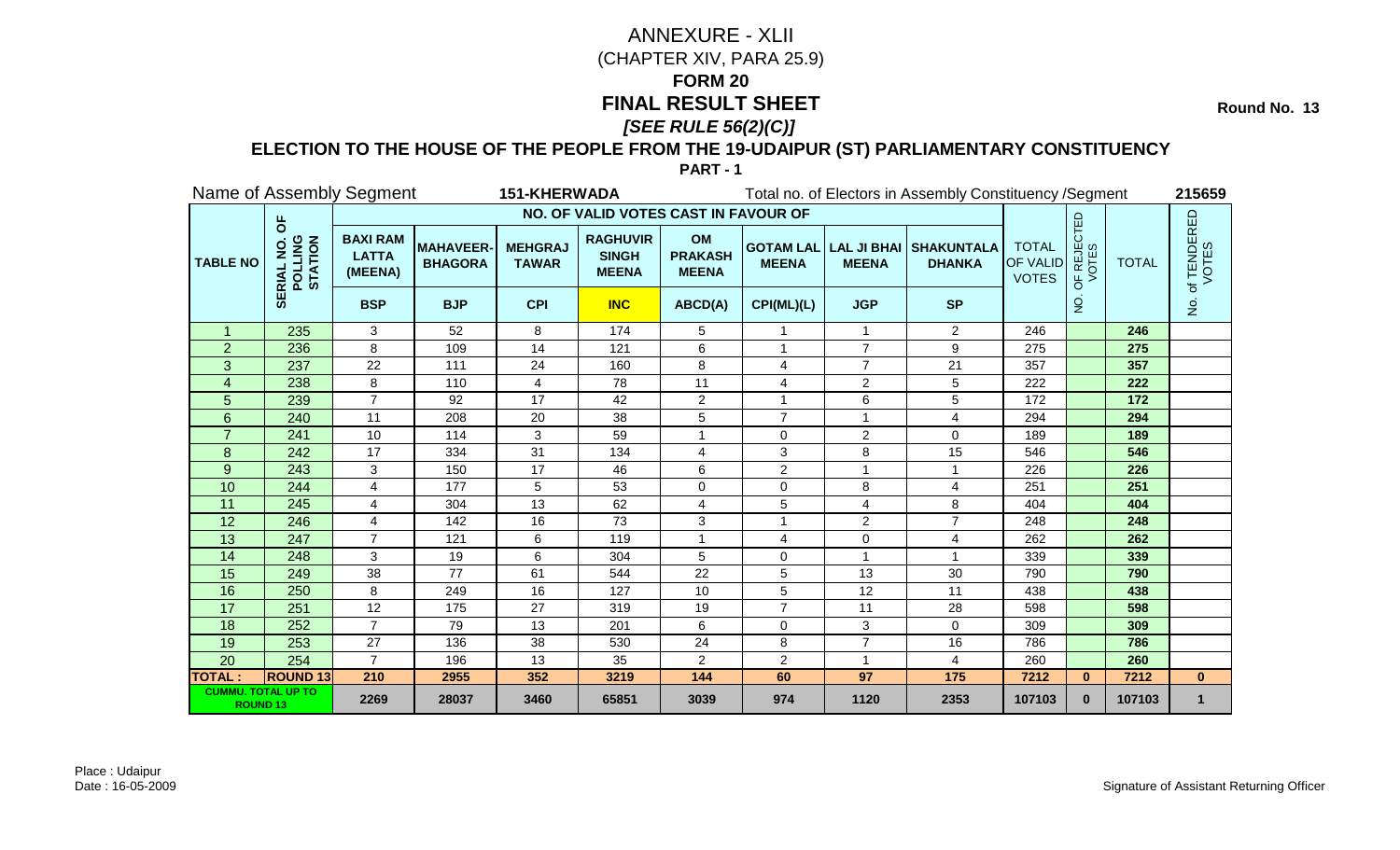**Round No. 13** 

### **ELECTION TO THE HOUSE OF THE PEOPLE FROM THE 19-UDAIPUR (ST) PARLIAMENTARY CONSTITUENCY**

| Name of Assembly Segment<br><b>151-KHERWADA</b> |                                                 |                                            |                                   |                                |                                                 | Total no. of Electors in Assembly Constituency / Segment |                |                |                                                              |                                          |                                                                | 215659       |                      |
|-------------------------------------------------|-------------------------------------------------|--------------------------------------------|-----------------------------------|--------------------------------|-------------------------------------------------|----------------------------------------------------------|----------------|----------------|--------------------------------------------------------------|------------------------------------------|----------------------------------------------------------------|--------------|----------------------|
|                                                 | $\overline{6}$<br>POLLING<br>STATION<br>ᇎ<br>55 | NO. OF VALID VOTES CAST IN FAVOUR OF       |                                   |                                |                                                 |                                                          |                |                |                                                              |                                          |                                                                |              |                      |
| <b>TABLE NO</b>                                 |                                                 | <b>BAXI RAM</b><br><b>LATTA</b><br>(MEENA) | <b>MAHAVEER</b><br><b>BHAGORA</b> | <b>MEHGRAJ</b><br><b>TAWAR</b> | <b>RAGHUVIR</b><br><b>SINGH</b><br><b>MEENA</b> | OM<br><b>PRAKASH</b><br><b>MEENA</b>                     | <b>MEENA</b>   | <b>MEENA</b>   | <b>GOTAM LAL   LAL JI BHAI   SHAKUNTALA</b><br><b>DHANKA</b> | <b>TOTAL</b><br>OF VALID<br><b>VOTES</b> | <b>PF REJECTED</b><br>VOTES<br>$\overline{5}$<br>$\frac{0}{2}$ | <b>TOTAL</b> | of TENDERED<br>VOTES |
|                                                 |                                                 | <b>BSP</b>                                 | <b>BJP</b>                        | <b>CPI</b>                     | <b>INC</b>                                      | ABCD(A)                                                  | CPI(ML)(L)     | <b>JGP</b>     | <b>SP</b>                                                    |                                          |                                                                |              | $\dot{\mathsf{S}}$   |
| $\mathbf{1}$                                    | 235                                             | 3                                          | 52                                | 8                              | 174                                             | 5                                                        |                | $\overline{1}$ | $\overline{2}$                                               | 246                                      |                                                                | 246          |                      |
| $\overline{2}$                                  | 236                                             | 8                                          | 109                               | 14                             | 121                                             | 6                                                        |                | $\overline{7}$ | 9                                                            | 275                                      |                                                                | 275          |                      |
| 3                                               | 237                                             | 22                                         | 111                               | 24                             | 160                                             | 8                                                        | 4              | $\overline{7}$ | 21                                                           | 357                                      |                                                                | 357          |                      |
| $\overline{\mathbf{4}}$                         | 238                                             | 8                                          | 110                               | 4                              | 78                                              | 11                                                       | 4              | $\overline{c}$ | 5                                                            | 222                                      |                                                                | 222          |                      |
| 5                                               | 239                                             | $\overline{7}$                             | 92                                | 17                             | 42                                              | $\overline{2}$                                           | -1             | 6              | 5                                                            | 172                                      |                                                                | 172          |                      |
| 6                                               | 240                                             | 11                                         | 208                               | 20                             | 38                                              | 5                                                        | $\overline{7}$ |                | 4                                                            | 294                                      |                                                                | 294          |                      |
|                                                 | 241                                             | 10                                         | 114                               | 3                              | 59                                              |                                                          | $\Omega$       | 2              | 0                                                            | 189                                      |                                                                | 189          |                      |
| 8                                               | 242                                             | 17                                         | 334                               | $\overline{31}$                | 134                                             | 4                                                        | 3              | 8              | 15                                                           | 546                                      |                                                                | 546          |                      |
| 9                                               | 243                                             | 3                                          | 150                               | 17                             | 46                                              | 6                                                        | 2              |                | 1                                                            | 226                                      |                                                                | 226          |                      |
| 10                                              | 244                                             | 4                                          | 177                               | 5                              | 53                                              | $\Omega$                                                 | $\Omega$       | 8              | 4                                                            | 251                                      |                                                                | 251          |                      |
| 11                                              | 245                                             | 4                                          | 304                               | 13                             | 62                                              | $\overline{4}$                                           | 5              | 4              | 8                                                            | 404                                      |                                                                | 404          |                      |
| 12                                              | 246                                             | $\overline{4}$                             | 142                               | 16                             | 73                                              | 3                                                        |                | $\overline{2}$ | $\overline{7}$                                               | 248                                      |                                                                | 248          |                      |
| 13                                              | 247                                             | $\overline{7}$                             | 121                               | 6                              | 119                                             | 1                                                        | 4              | $\mathbf 0$    | 4                                                            | 262                                      |                                                                | 262          |                      |
| 14                                              | 248                                             | 3                                          | 19                                | 6                              | 304                                             | 5                                                        | 0              |                | 1                                                            | 339                                      |                                                                | 339          |                      |
| 15                                              | 249                                             | $\overline{38}$                            | $\overline{77}$                   | 61                             | 544                                             | $\overline{22}$                                          | 5              | 13             | 30                                                           | 790                                      |                                                                | 790          |                      |
| 16                                              | 250                                             | 8                                          | 249                               | 16                             | 127                                             | 10                                                       | 5              | 12             | 11                                                           | 438                                      |                                                                | 438          |                      |
| 17                                              | 251                                             | 12                                         | 175                               | 27                             | 319                                             | 19                                                       | 7              | 11             | 28                                                           | 598                                      |                                                                | 598          |                      |
| 18                                              | 252                                             | $\overline{7}$                             | 79                                | 13                             | 201                                             | 6                                                        | $\Omega$       | 3              | 0                                                            | 309                                      |                                                                | 309          |                      |
| 19                                              | 253                                             | 27                                         | 136                               | 38                             | 530                                             | 24                                                       | 8              | $\overline{7}$ | 16                                                           | 786                                      |                                                                | 786          |                      |
| 20                                              | 254                                             | $\overline{7}$                             | 196                               | 13                             | 35                                              | $\overline{2}$                                           | 2              | 1              | 4                                                            | 260                                      |                                                                | 260          |                      |
| <b>TOTAL:</b>                                   | <b>ROUND 13</b>                                 | 210                                        | 2955                              | 352                            | 3219                                            | 144                                                      | 60             | 97             | 175                                                          | 7212                                     | $\bf{0}$                                                       | 7212         | $\mathbf{0}$         |
| <b>CUMMU. TOTAL UP TO</b><br><b>ROUND 13</b>    |                                                 | 2269                                       | 28037                             | 3460                           | 65851                                           | 3039                                                     | 974            | 1120           | 2353                                                         | 107103                                   | $\bf{0}$                                                       | 107103       | $\mathbf 1$          |